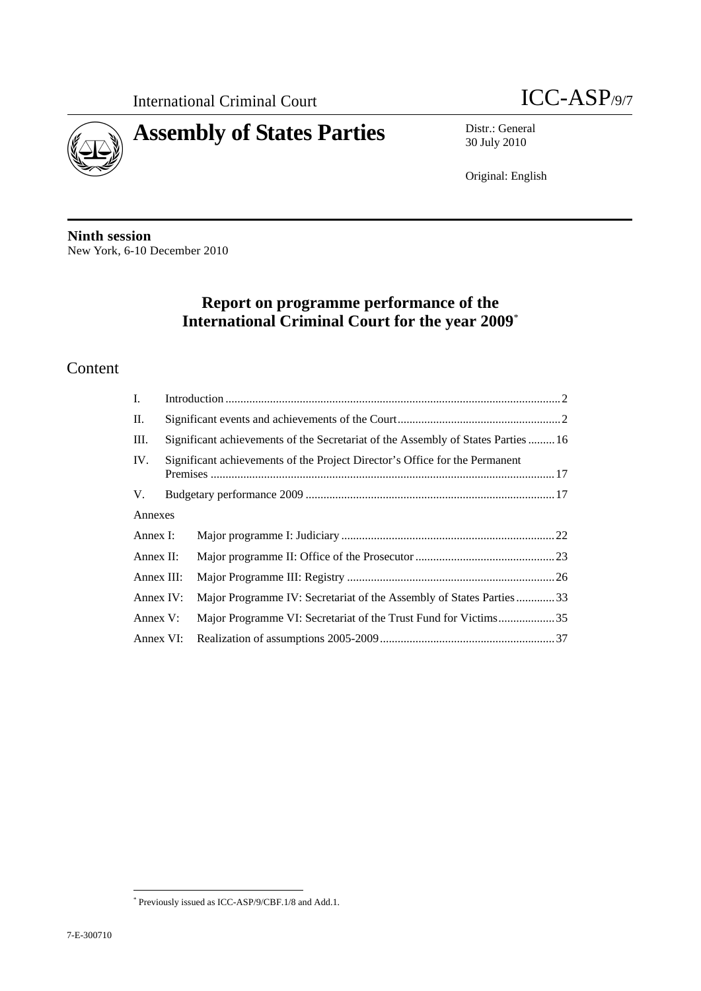



30 July 2010

Original: English

**Ninth session**  New York, 6-10 December 2010

## **Report on programme performance of the International Criminal Court for the year 2009**\*

## Content

| I.         |                                                                             |                                                                                  |  |  |  |
|------------|-----------------------------------------------------------------------------|----------------------------------------------------------------------------------|--|--|--|
| П.         |                                                                             |                                                                                  |  |  |  |
| Ш.         |                                                                             | Significant achievements of the Secretariat of the Assembly of States Parties 16 |  |  |  |
| IV.        | Significant achievements of the Project Director's Office for the Permanent |                                                                                  |  |  |  |
| V.         |                                                                             |                                                                                  |  |  |  |
| Annexes    |                                                                             |                                                                                  |  |  |  |
| Annex I:   |                                                                             |                                                                                  |  |  |  |
| Annex II:  |                                                                             |                                                                                  |  |  |  |
| Annex III: |                                                                             |                                                                                  |  |  |  |
| Annex IV:  |                                                                             | Major Programme IV: Secretariat of the Assembly of States Parties33              |  |  |  |
| Annex V:   |                                                                             | Major Programme VI: Secretariat of the Trust Fund for Victims35                  |  |  |  |
| Annex VI:  |                                                                             |                                                                                  |  |  |  |

 $\overline{a}$ \* Previously issued as ICC-ASP/9/CBF.1/8 and Add.1.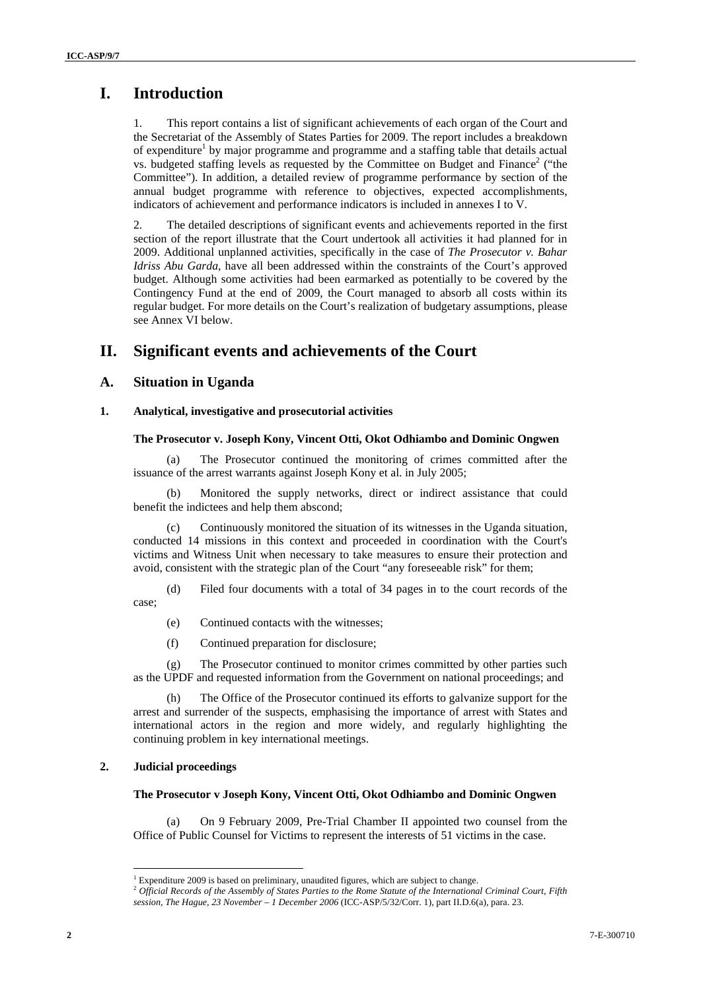## **I. Introduction**

1. This report contains a list of significant achievements of each organ of the Court and the Secretariat of the Assembly of States Parties for 2009. The report includes a breakdown of expenditure<sup>1</sup> by major programme and programme and a staffing table that details actual vs. budgeted staffing levels as requested by the Committee on Budget and Finance<sup>2</sup> ("the Committee"). In addition, a detailed review of programme performance by section of the annual budget programme with reference to objectives, expected accomplishments, indicators of achievement and performance indicators is included in annexes I to V.

2. The detailed descriptions of significant events and achievements reported in the first section of the report illustrate that the Court undertook all activities it had planned for in 2009. Additional unplanned activities, specifically in the case of *The Prosecutor v. Bahar Idriss Abu Garda*, have all been addressed within the constraints of the Court's approved budget. Although some activities had been earmarked as potentially to be covered by the Contingency Fund at the end of 2009, the Court managed to absorb all costs within its regular budget. For more details on the Court's realization of budgetary assumptions, please see Annex VI below.

## **II. Significant events and achievements of the Court**

### **A. Situation in Uganda**

#### **1. Analytical, investigative and prosecutorial activities**

#### **The Prosecutor v. Joseph Kony, Vincent Otti, Okot Odhiambo and Dominic Ongwen**

(a) The Prosecutor continued the monitoring of crimes committed after the issuance of the arrest warrants against Joseph Kony et al. in July 2005;

(b) Monitored the supply networks, direct or indirect assistance that could benefit the indictees and help them abscond;

(c) Continuously monitored the situation of its witnesses in the Uganda situation, conducted 14 missions in this context and proceeded in coordination with the Court's victims and Witness Unit when necessary to take measures to ensure their protection and avoid, consistent with the strategic plan of the Court "any foreseeable risk" for them;

(d) Filed four documents with a total of 34 pages in to the court records of the case;

- (e) Continued contacts with the witnesses;
- (f) Continued preparation for disclosure;

(g) The Prosecutor continued to monitor crimes committed by other parties such as the UPDF and requested information from the Government on national proceedings; and

(h) The Office of the Prosecutor continued its efforts to galvanize support for the arrest and surrender of the suspects, emphasising the importance of arrest with States and international actors in the region and more widely, and regularly highlighting the continuing problem in key international meetings.

#### **2. Judicial proceedings**

 $\overline{a}$ 

#### **The Prosecutor v Joseph Kony, Vincent Otti, Okot Odhiambo and Dominic Ongwen**

(a) On 9 February 2009, Pre-Trial Chamber II appointed two counsel from the Office of Public Counsel for Victims to represent the interests of 51 victims in the case.

<sup>&</sup>lt;sup>1</sup> Expenditure 2009 is based on preliminary, unaudited figures, which are subject to change.

Expenditure 2009 is based on preliminary, unaudited figures, which are subject to change. 2 *Official Records of the Assembly of States Parties to the Rome Statute of the International Criminal Court, Fifth* 

*session, The Hague, 23 November – 1 December 2006* (ICC-ASP/5/32/Corr. 1), part II.D.6(a), para. 23.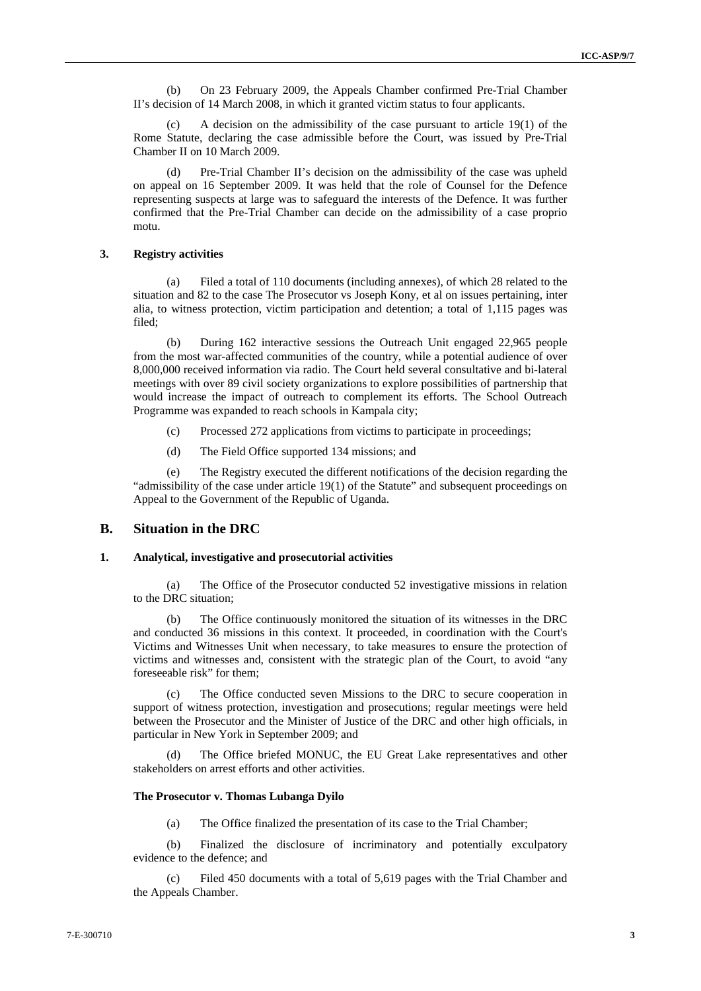(b) On 23 February 2009, the Appeals Chamber confirmed Pre-Trial Chamber II's decision of 14 March 2008, in which it granted victim status to four applicants.

A decision on the admissibility of the case pursuant to article  $19(1)$  of the Rome Statute, declaring the case admissible before the Court, was issued by Pre-Trial Chamber II on 10 March 2009.

Pre-Trial Chamber II's decision on the admissibility of the case was upheld on appeal on 16 September 2009. It was held that the role of Counsel for the Defence representing suspects at large was to safeguard the interests of the Defence. It was further confirmed that the Pre-Trial Chamber can decide on the admissibility of a case proprio motu.

#### **3. Registry activities**

(a) Filed a total of 110 documents (including annexes), of which 28 related to the situation and 82 to the case The Prosecutor vs Joseph Kony, et al on issues pertaining, inter alia, to witness protection, victim participation and detention; a total of 1,115 pages was filed;

(b) During 162 interactive sessions the Outreach Unit engaged 22,965 people from the most war-affected communities of the country, while a potential audience of over 8,000,000 received information via radio. The Court held several consultative and bi-lateral meetings with over 89 civil society organizations to explore possibilities of partnership that would increase the impact of outreach to complement its efforts. The School Outreach Programme was expanded to reach schools in Kampala city;

- (c) Processed 272 applications from victims to participate in proceedings;
- (d) The Field Office supported 134 missions; and

(e) The Registry executed the different notifications of the decision regarding the "admissibility of the case under article 19(1) of the Statute" and subsequent proceedings on Appeal to the Government of the Republic of Uganda.

#### **B. Situation in the DRC**

#### **1. Analytical, investigative and prosecutorial activities**

(a) The Office of the Prosecutor conducted 52 investigative missions in relation to the DRC situation;

(b) The Office continuously monitored the situation of its witnesses in the DRC and conducted 36 missions in this context. It proceeded, in coordination with the Court's Victims and Witnesses Unit when necessary, to take measures to ensure the protection of victims and witnesses and, consistent with the strategic plan of the Court, to avoid "any foreseeable risk" for them;

(c) The Office conducted seven Missions to the DRC to secure cooperation in support of witness protection, investigation and prosecutions; regular meetings were held between the Prosecutor and the Minister of Justice of the DRC and other high officials, in particular in New York in September 2009; and

(d) The Office briefed MONUC, the EU Great Lake representatives and other stakeholders on arrest efforts and other activities.

#### **The Prosecutor v. Thomas Lubanga Dyilo**

(a) The Office finalized the presentation of its case to the Trial Chamber;

(b) Finalized the disclosure of incriminatory and potentially exculpatory evidence to the defence; and

(c) Filed 450 documents with a total of 5,619 pages with the Trial Chamber and the Appeals Chamber.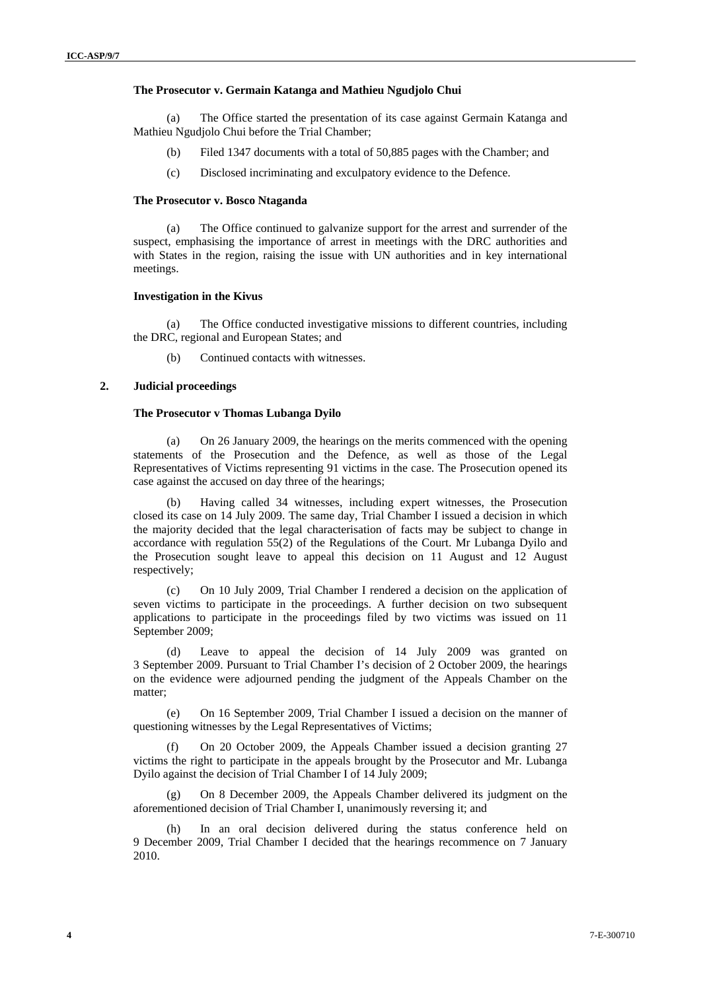#### **The Prosecutor v. Germain Katanga and Mathieu Ngudjolo Chui**

(a) The Office started the presentation of its case against Germain Katanga and Mathieu Ngudjolo Chui before the Trial Chamber;

- (b) Filed 1347 documents with a total of 50,885 pages with the Chamber; and
- (c) Disclosed incriminating and exculpatory evidence to the Defence.

#### **The Prosecutor v. Bosco Ntaganda**

(a) The Office continued to galvanize support for the arrest and surrender of the suspect, emphasising the importance of arrest in meetings with the DRC authorities and with States in the region, raising the issue with UN authorities and in key international meetings.

#### **Investigation in the Kivus**

(a) The Office conducted investigative missions to different countries, including the DRC, regional and European States; and

(b) Continued contacts with witnesses.

#### **2. Judicial proceedings**

#### **The Prosecutor v Thomas Lubanga Dyilo**

(a) On 26 January 2009, the hearings on the merits commenced with the opening statements of the Prosecution and the Defence, as well as those of the Legal Representatives of Victims representing 91 victims in the case. The Prosecution opened its case against the accused on day three of the hearings;

(b) Having called 34 witnesses, including expert witnesses, the Prosecution closed its case on 14 July 2009. The same day, Trial Chamber I issued a decision in which the majority decided that the legal characterisation of facts may be subject to change in accordance with regulation 55(2) of the Regulations of the Court. Mr Lubanga Dyilo and the Prosecution sought leave to appeal this decision on 11 August and 12 August respectively;

(c) On 10 July 2009, Trial Chamber I rendered a decision on the application of seven victims to participate in the proceedings. A further decision on two subsequent applications to participate in the proceedings filed by two victims was issued on 11 September 2009;

(d) Leave to appeal the decision of 14 July 2009 was granted on 3 September 2009. Pursuant to Trial Chamber I's decision of 2 October 2009, the hearings on the evidence were adjourned pending the judgment of the Appeals Chamber on the matter;

(e) On 16 September 2009, Trial Chamber I issued a decision on the manner of questioning witnesses by the Legal Representatives of Victims;

(f) On 20 October 2009, the Appeals Chamber issued a decision granting 27 victims the right to participate in the appeals brought by the Prosecutor and Mr. Lubanga Dyilo against the decision of Trial Chamber I of 14 July 2009;

(g) On 8 December 2009, the Appeals Chamber delivered its judgment on the aforementioned decision of Trial Chamber I, unanimously reversing it; and

(h) In an oral decision delivered during the status conference held on 9 December 2009, Trial Chamber I decided that the hearings recommence on 7 January 2010.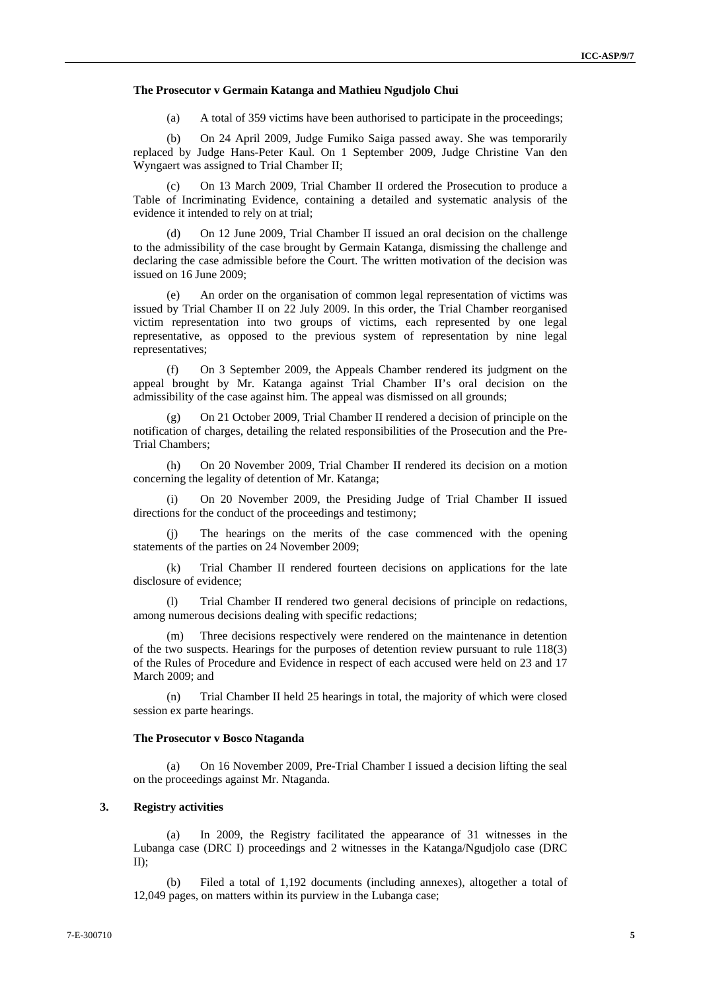#### **The Prosecutor v Germain Katanga and Mathieu Ngudjolo Chui**

(a) A total of 359 victims have been authorised to participate in the proceedings;

(b) On 24 April 2009, Judge Fumiko Saiga passed away. She was temporarily replaced by Judge Hans-Peter Kaul. On 1 September 2009, Judge Christine Van den Wyngaert was assigned to Trial Chamber II;

(c) On 13 March 2009, Trial Chamber II ordered the Prosecution to produce a Table of Incriminating Evidence, containing a detailed and systematic analysis of the evidence it intended to rely on at trial;

(d) On 12 June 2009, Trial Chamber II issued an oral decision on the challenge to the admissibility of the case brought by Germain Katanga, dismissing the challenge and declaring the case admissible before the Court. The written motivation of the decision was issued on 16 June 2009;

(e) An order on the organisation of common legal representation of victims was issued by Trial Chamber II on 22 July 2009. In this order, the Trial Chamber reorganised victim representation into two groups of victims, each represented by one legal representative, as opposed to the previous system of representation by nine legal representatives;

(f) On 3 September 2009, the Appeals Chamber rendered its judgment on the appeal brought by Mr. Katanga against Trial Chamber II's oral decision on the admissibility of the case against him. The appeal was dismissed on all grounds;

On 21 October 2009, Trial Chamber II rendered a decision of principle on the notification of charges, detailing the related responsibilities of the Prosecution and the Pre-Trial Chambers;

(h) On 20 November 2009, Trial Chamber II rendered its decision on a motion concerning the legality of detention of Mr. Katanga;

(i) On 20 November 2009, the Presiding Judge of Trial Chamber II issued directions for the conduct of the proceedings and testimony;

The hearings on the merits of the case commenced with the opening statements of the parties on 24 November 2009;

(k) Trial Chamber II rendered fourteen decisions on applications for the late disclosure of evidence;

Trial Chamber II rendered two general decisions of principle on redactions, among numerous decisions dealing with specific redactions;

(m) Three decisions respectively were rendered on the maintenance in detention of the two suspects. Hearings for the purposes of detention review pursuant to rule 118(3) of the Rules of Procedure and Evidence in respect of each accused were held on 23 and 17 March 2009; and

(n) Trial Chamber II held 25 hearings in total, the majority of which were closed session ex parte hearings.

#### **The Prosecutor v Bosco Ntaganda**

(a) On 16 November 2009, Pre-Trial Chamber I issued a decision lifting the seal on the proceedings against Mr. Ntaganda.

### **3. Registry activities**

(a) In 2009, the Registry facilitated the appearance of 31 witnesses in the Lubanga case (DRC I) proceedings and 2 witnesses in the Katanga/Ngudjolo case (DRC  $\Pi$ 

(b) Filed a total of 1,192 documents (including annexes), altogether a total of 12,049 pages, on matters within its purview in the Lubanga case;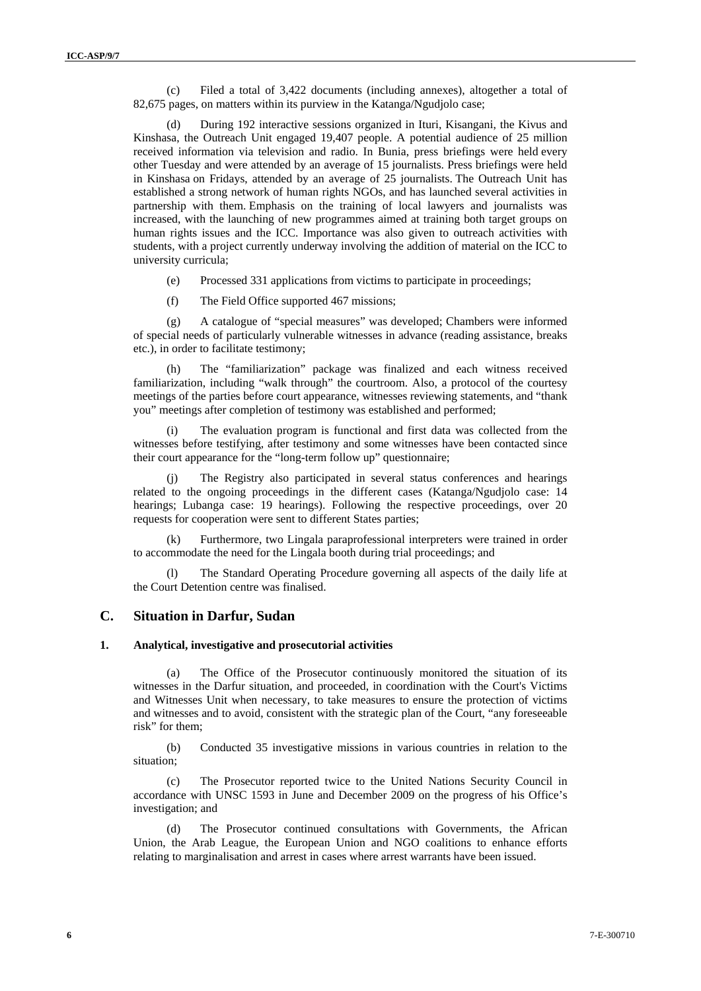(c) Filed a total of 3,422 documents (including annexes), altogether a total of 82,675 pages, on matters within its purview in the Katanga/Ngudjolo case;

(d) During 192 interactive sessions organized in Ituri, Kisangani, the Kivus and Kinshasa, the Outreach Unit engaged 19,407 people. A potential audience of 25 million received information via television and radio. In Bunia, press briefings were held every other Tuesday and were attended by an average of 15 journalists. Press briefings were held in Kinshasa on Fridays, attended by an average of 25 journalists. The Outreach Unit has established a strong network of human rights NGOs, and has launched several activities in partnership with them. Emphasis on the training of local lawyers and journalists was increased, with the launching of new programmes aimed at training both target groups on human rights issues and the ICC. Importance was also given to outreach activities with students, with a project currently underway involving the addition of material on the ICC to university curricula;

(e) Processed 331 applications from victims to participate in proceedings;

(f) The Field Office supported 467 missions;

(g) A catalogue of "special measures" was developed; Chambers were informed of special needs of particularly vulnerable witnesses in advance (reading assistance, breaks etc.), in order to facilitate testimony;

(h) The "familiarization" package was finalized and each witness received familiarization, including "walk through" the courtroom. Also, a protocol of the courtesy meetings of the parties before court appearance, witnesses reviewing statements, and "thank you" meetings after completion of testimony was established and performed;

(i) The evaluation program is functional and first data was collected from the witnesses before testifying, after testimony and some witnesses have been contacted since their court appearance for the "long-term follow up" questionnaire;

(j) The Registry also participated in several status conferences and hearings related to the ongoing proceedings in the different cases (Katanga/Ngudjolo case: 14 hearings; Lubanga case: 19 hearings). Following the respective proceedings, over 20 requests for cooperation were sent to different States parties;

(k) Furthermore, two Lingala paraprofessional interpreters were trained in order to accommodate the need for the Lingala booth during trial proceedings; and

The Standard Operating Procedure governing all aspects of the daily life at the Court Detention centre was finalised.

### **C. Situation in Darfur, Sudan**

#### **1. Analytical, investigative and prosecutorial activities**

(a) The Office of the Prosecutor continuously monitored the situation of its witnesses in the Darfur situation, and proceeded, in coordination with the Court's Victims and Witnesses Unit when necessary, to take measures to ensure the protection of victims and witnesses and to avoid, consistent with the strategic plan of the Court, "any foreseeable risk" for them;

(b) Conducted 35 investigative missions in various countries in relation to the situation;

(c) The Prosecutor reported twice to the United Nations Security Council in accordance with UNSC 1593 in June and December 2009 on the progress of his Office's investigation; and

(d) The Prosecutor continued consultations with Governments, the African Union, the Arab League, the European Union and NGO coalitions to enhance efforts relating to marginalisation and arrest in cases where arrest warrants have been issued.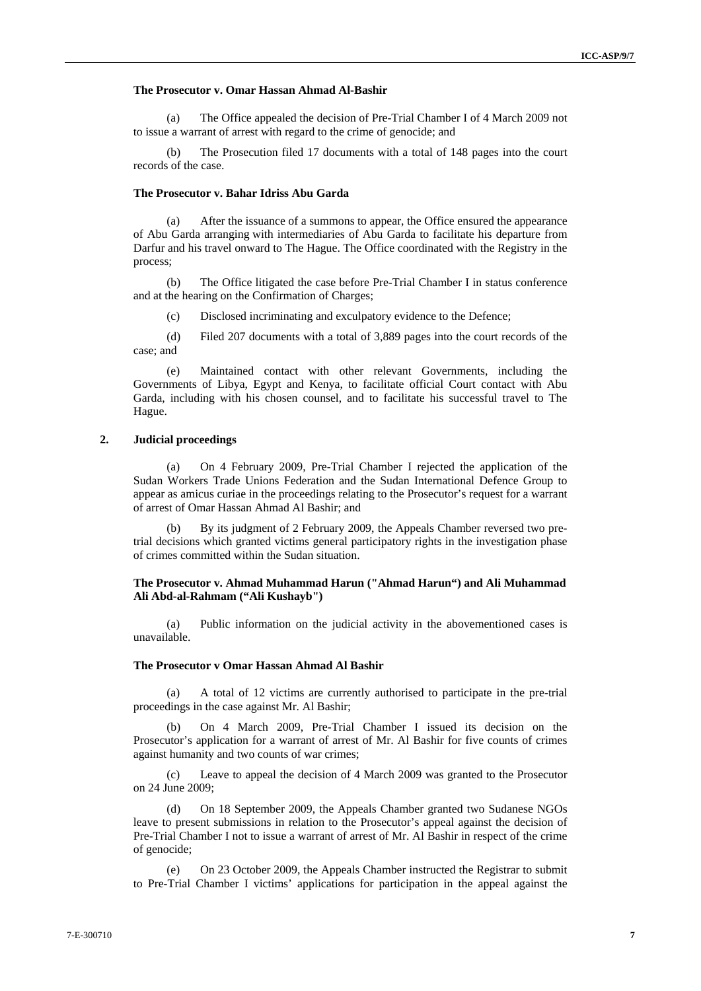#### **The Prosecutor v. Omar Hassan Ahmad Al-Bashir**

(a) The Office appealed the decision of Pre-Trial Chamber I of 4 March 2009 not to issue a warrant of arrest with regard to the crime of genocide; and

(b) The Prosecution filed 17 documents with a total of 148 pages into the court records of the case.

#### **The Prosecutor v. Bahar Idriss Abu Garda**

(a) After the issuance of a summons to appear, the Office ensured the appearance of Abu Garda arranging with intermediaries of Abu Garda to facilitate his departure from Darfur and his travel onward to The Hague. The Office coordinated with the Registry in the process;

(b) The Office litigated the case before Pre-Trial Chamber I in status conference and at the hearing on the Confirmation of Charges;

(c) Disclosed incriminating and exculpatory evidence to the Defence;

(d) Filed 207 documents with a total of 3,889 pages into the court records of the case; and

(e) Maintained contact with other relevant Governments, including the Governments of Libya, Egypt and Kenya, to facilitate official Court contact with Abu Garda, including with his chosen counsel, and to facilitate his successful travel to The Hague.

#### **2. Judicial proceedings**

(a) On 4 February 2009, Pre-Trial Chamber I rejected the application of the Sudan Workers Trade Unions Federation and the Sudan International Defence Group to appear as amicus curiae in the proceedings relating to the Prosecutor's request for a warrant of arrest of Omar Hassan Ahmad Al Bashir; and

By its judgment of 2 February 2009, the Appeals Chamber reversed two pretrial decisions which granted victims general participatory rights in the investigation phase of crimes committed within the Sudan situation.

#### **The Prosecutor v. Ahmad Muhammad Harun ("Ahmad Harun") and Ali Muhammad Ali Abd-al-Rahmam ("Ali Kushayb")**

(a) Public information on the judicial activity in the abovementioned cases is unavailable.

#### **The Prosecutor v Omar Hassan Ahmad Al Bashir**

(a) A total of 12 victims are currently authorised to participate in the pre-trial proceedings in the case against Mr. Al Bashir;

(b) On 4 March 2009, Pre-Trial Chamber I issued its decision on the Prosecutor's application for a warrant of arrest of Mr. Al Bashir for five counts of crimes against humanity and two counts of war crimes;

(c) Leave to appeal the decision of 4 March 2009 was granted to the Prosecutor on 24 June 2009;

(d) On 18 September 2009, the Appeals Chamber granted two Sudanese NGOs leave to present submissions in relation to the Prosecutor's appeal against the decision of Pre-Trial Chamber I not to issue a warrant of arrest of Mr. Al Bashir in respect of the crime of genocide;

(e) On 23 October 2009, the Appeals Chamber instructed the Registrar to submit to Pre-Trial Chamber I victims' applications for participation in the appeal against the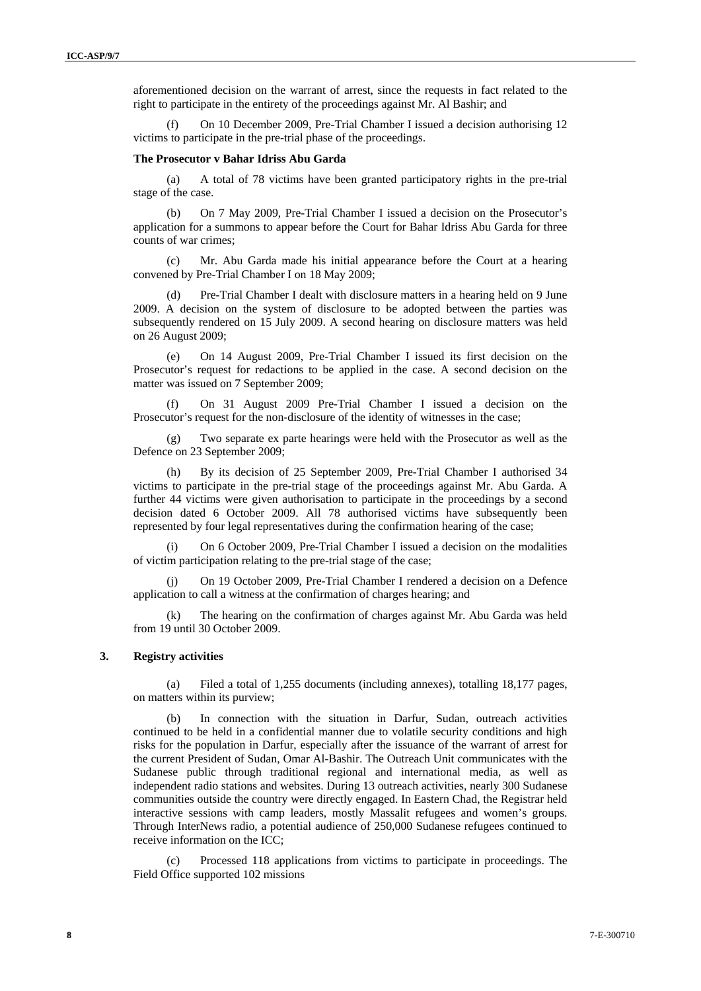aforementioned decision on the warrant of arrest, since the requests in fact related to the right to participate in the entirety of the proceedings against Mr. Al Bashir; and

(f) On 10 December 2009, Pre-Trial Chamber I issued a decision authorising 12 victims to participate in the pre-trial phase of the proceedings.

#### **The Prosecutor v Bahar Idriss Abu Garda**

(a) A total of 78 victims have been granted participatory rights in the pre-trial stage of the case.

(b) On 7 May 2009, Pre-Trial Chamber I issued a decision on the Prosecutor's application for a summons to appear before the Court for Bahar Idriss Abu Garda for three counts of war crimes;

Mr. Abu Garda made his initial appearance before the Court at a hearing convened by Pre-Trial Chamber I on 18 May 2009;

(d) Pre-Trial Chamber I dealt with disclosure matters in a hearing held on 9 June 2009. A decision on the system of disclosure to be adopted between the parties was subsequently rendered on 15 July 2009. A second hearing on disclosure matters was held on 26 August 2009;

(e) On 14 August 2009, Pre-Trial Chamber I issued its first decision on the Prosecutor's request for redactions to be applied in the case. A second decision on the matter was issued on 7 September 2009;

(f) On 31 August 2009 Pre-Trial Chamber I issued a decision on the Prosecutor's request for the non-disclosure of the identity of witnesses in the case;

(g) Two separate ex parte hearings were held with the Prosecutor as well as the Defence on 23 September 2009;

(h) By its decision of 25 September 2009, Pre-Trial Chamber I authorised 34 victims to participate in the pre-trial stage of the proceedings against Mr. Abu Garda. A further 44 victims were given authorisation to participate in the proceedings by a second decision dated 6 October 2009. All 78 authorised victims have subsequently been represented by four legal representatives during the confirmation hearing of the case;

On 6 October 2009, Pre-Trial Chamber I issued a decision on the modalities of victim participation relating to the pre-trial stage of the case;

(j) On 19 October 2009, Pre-Trial Chamber I rendered a decision on a Defence application to call a witness at the confirmation of charges hearing; and

(k) The hearing on the confirmation of charges against Mr. Abu Garda was held from 19 until 30 October 2009.

#### **3. Registry activities**

(a) Filed a total of 1,255 documents (including annexes), totalling 18,177 pages, on matters within its purview;

(b) In connection with the situation in Darfur, Sudan, outreach activities continued to be held in a confidential manner due to volatile security conditions and high risks for the population in Darfur, especially after the issuance of the warrant of arrest for the current President of Sudan, Omar Al-Bashir. The Outreach Unit communicates with the Sudanese public through traditional regional and international media, as well as independent radio stations and websites. During 13 outreach activities, nearly 300 Sudanese communities outside the country were directly engaged. In Eastern Chad, the Registrar held interactive sessions with camp leaders, mostly Massalit refugees and women's groups. Through InterNews radio, a potential audience of 250,000 Sudanese refugees continued to receive information on the ICC;

(c) Processed 118 applications from victims to participate in proceedings. The Field Office supported 102 missions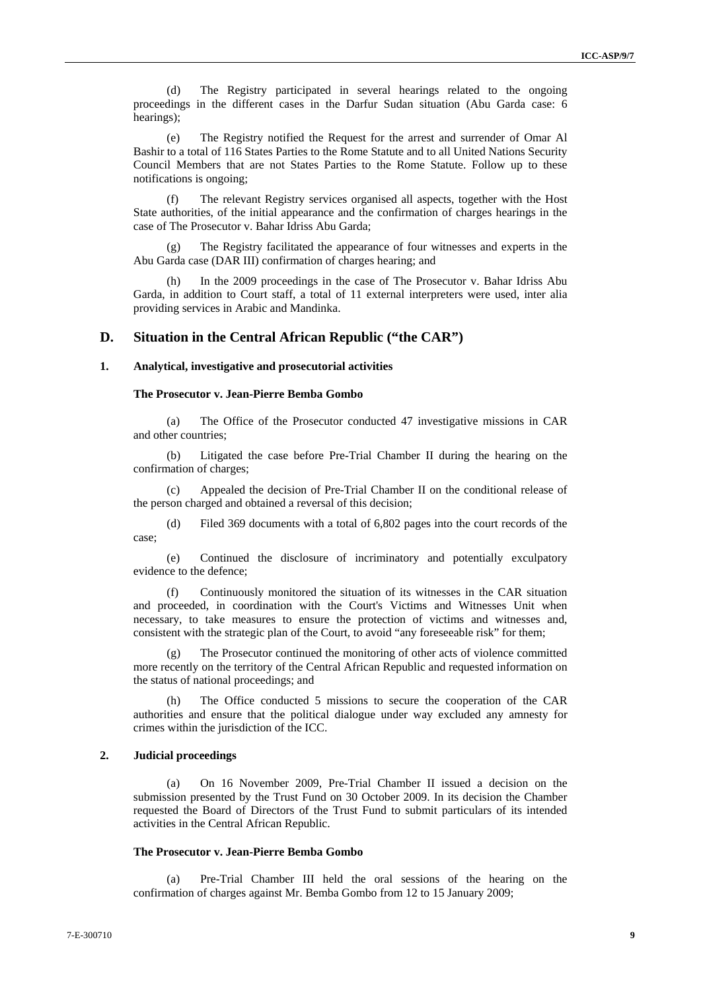(d) The Registry participated in several hearings related to the ongoing proceedings in the different cases in the Darfur Sudan situation (Abu Garda case: 6 hearings);

(e) The Registry notified the Request for the arrest and surrender of Omar Al Bashir to a total of 116 States Parties to the Rome Statute and to all United Nations Security Council Members that are not States Parties to the Rome Statute. Follow up to these notifications is ongoing;

(f) The relevant Registry services organised all aspects, together with the Host State authorities, of the initial appearance and the confirmation of charges hearings in the case of The Prosecutor v. Bahar Idriss Abu Garda;

(g) The Registry facilitated the appearance of four witnesses and experts in the Abu Garda case (DAR III) confirmation of charges hearing; and

(h) In the 2009 proceedings in the case of The Prosecutor v. Bahar Idriss Abu Garda, in addition to Court staff, a total of 11 external interpreters were used, inter alia providing services in Arabic and Mandinka.

#### **D. Situation in the Central African Republic ("the CAR")**

#### **1. Analytical, investigative and prosecutorial activities**

#### **The Prosecutor v. Jean-Pierre Bemba Gombo**

(a) The Office of the Prosecutor conducted 47 investigative missions in CAR and other countries;

(b) Litigated the case before Pre-Trial Chamber II during the hearing on the confirmation of charges;

(c) Appealed the decision of Pre-Trial Chamber II on the conditional release of the person charged and obtained a reversal of this decision;

(d) Filed 369 documents with a total of 6,802 pages into the court records of the case;

(e) Continued the disclosure of incriminatory and potentially exculpatory evidence to the defence;

(f) Continuously monitored the situation of its witnesses in the CAR situation and proceeded, in coordination with the Court's Victims and Witnesses Unit when necessary, to take measures to ensure the protection of victims and witnesses and, consistent with the strategic plan of the Court, to avoid "any foreseeable risk" for them;

(g) The Prosecutor continued the monitoring of other acts of violence committed more recently on the territory of the Central African Republic and requested information on the status of national proceedings; and

(h) The Office conducted 5 missions to secure the cooperation of the CAR authorities and ensure that the political dialogue under way excluded any amnesty for crimes within the jurisdiction of the ICC.

#### **2. Judicial proceedings**

(a) On 16 November 2009, Pre-Trial Chamber II issued a decision on the submission presented by the Trust Fund on 30 October 2009. In its decision the Chamber requested the Board of Directors of the Trust Fund to submit particulars of its intended activities in the Central African Republic.

#### **The Prosecutor v. Jean-Pierre Bemba Gombo**

(a) Pre-Trial Chamber III held the oral sessions of the hearing on the confirmation of charges against Mr. Bemba Gombo from 12 to 15 January 2009;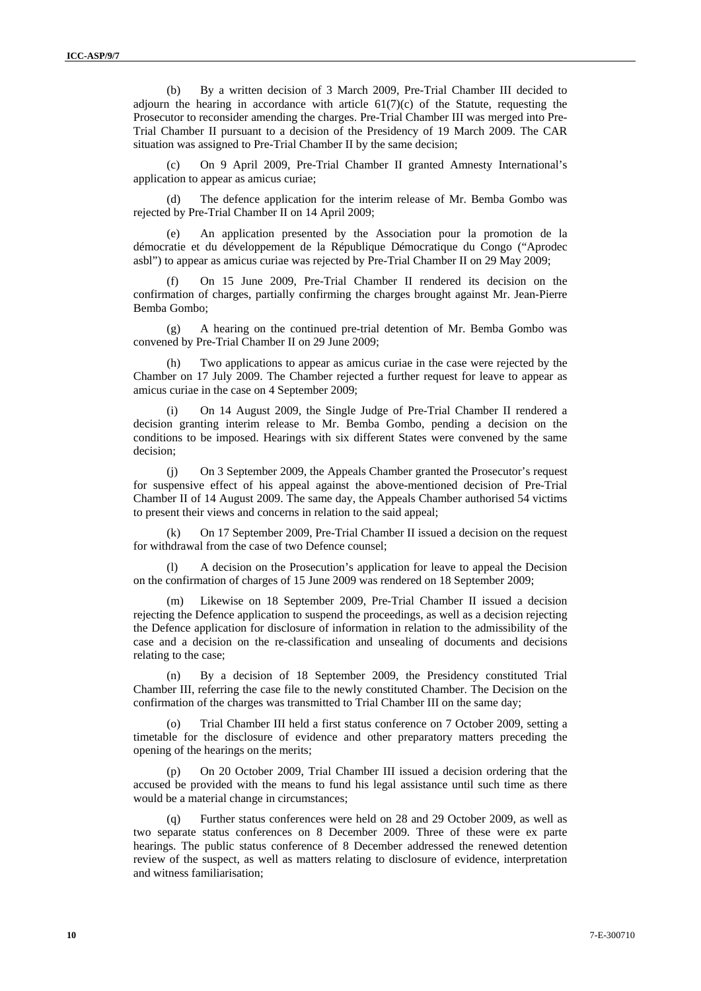(b) By a written decision of 3 March 2009, Pre-Trial Chamber III decided to adjourn the hearing in accordance with article  $61(7)(c)$  of the Statute, requesting the Prosecutor to reconsider amending the charges. Pre-Trial Chamber III was merged into Pre-Trial Chamber II pursuant to a decision of the Presidency of 19 March 2009. The CAR situation was assigned to Pre-Trial Chamber II by the same decision;

(c) On 9 April 2009, Pre-Trial Chamber II granted Amnesty International's application to appear as amicus curiae;

(d) The defence application for the interim release of Mr. Bemba Gombo was rejected by Pre-Trial Chamber II on 14 April 2009;

(e) An application presented by the Association pour la promotion de la démocratie et du développement de la République Démocratique du Congo ("Aprodec asbl") to appear as amicus curiae was rejected by Pre-Trial Chamber II on 29 May 2009;

(f) On 15 June 2009, Pre-Trial Chamber II rendered its decision on the confirmation of charges, partially confirming the charges brought against Mr. Jean-Pierre Bemba Gombo;

(g) A hearing on the continued pre-trial detention of Mr. Bemba Gombo was convened by Pre-Trial Chamber II on 29 June 2009;

(h) Two applications to appear as amicus curiae in the case were rejected by the Chamber on 17 July 2009. The Chamber rejected a further request for leave to appear as amicus curiae in the case on 4 September 2009;

(i) On 14 August 2009, the Single Judge of Pre-Trial Chamber II rendered a decision granting interim release to Mr. Bemba Gombo, pending a decision on the conditions to be imposed. Hearings with six different States were convened by the same decision;

(j) On 3 September 2009, the Appeals Chamber granted the Prosecutor's request for suspensive effect of his appeal against the above-mentioned decision of Pre-Trial Chamber II of 14 August 2009. The same day, the Appeals Chamber authorised 54 victims to present their views and concerns in relation to the said appeal;

(k) On 17 September 2009, Pre-Trial Chamber II issued a decision on the request for withdrawal from the case of two Defence counsel;

(l) A decision on the Prosecution's application for leave to appeal the Decision on the confirmation of charges of 15 June 2009 was rendered on 18 September 2009;

(m) Likewise on 18 September 2009, Pre-Trial Chamber II issued a decision rejecting the Defence application to suspend the proceedings, as well as a decision rejecting the Defence application for disclosure of information in relation to the admissibility of the case and a decision on the re-classification and unsealing of documents and decisions relating to the case;

(n) By a decision of 18 September 2009, the Presidency constituted Trial Chamber III, referring the case file to the newly constituted Chamber. The Decision on the confirmation of the charges was transmitted to Trial Chamber III on the same day;

Trial Chamber III held a first status conference on 7 October 2009, setting a timetable for the disclosure of evidence and other preparatory matters preceding the opening of the hearings on the merits;

(p) On 20 October 2009, Trial Chamber III issued a decision ordering that the accused be provided with the means to fund his legal assistance until such time as there would be a material change in circumstances;

(q) Further status conferences were held on 28 and 29 October 2009, as well as two separate status conferences on 8 December 2009. Three of these were ex parte hearings. The public status conference of 8 December addressed the renewed detention review of the suspect, as well as matters relating to disclosure of evidence, interpretation and witness familiarisation;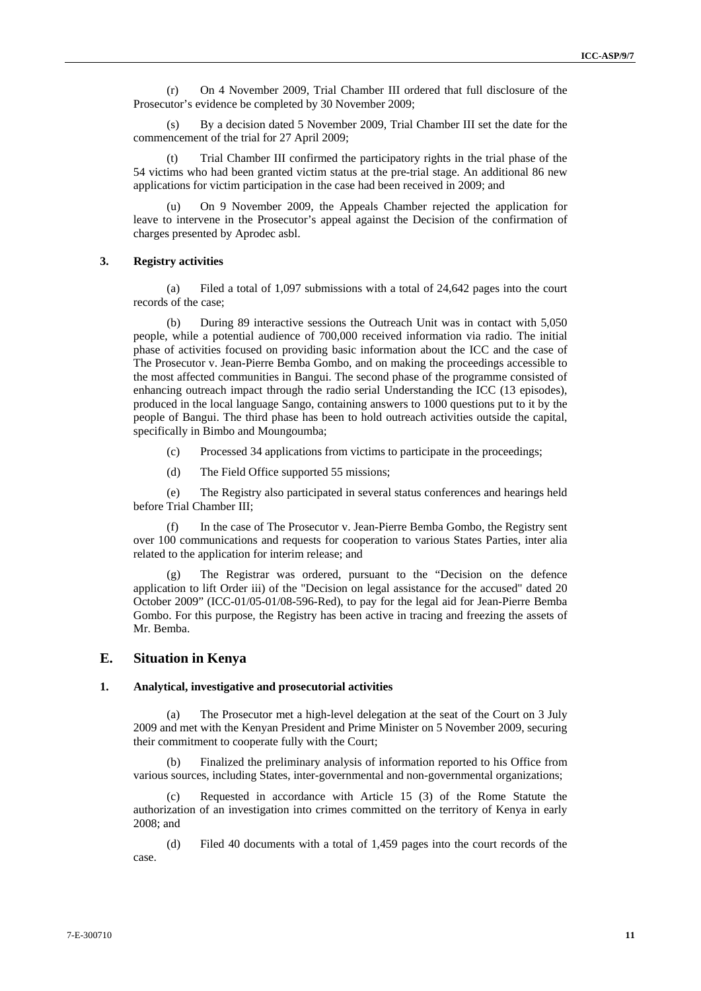(r) On 4 November 2009, Trial Chamber III ordered that full disclosure of the Prosecutor's evidence be completed by 30 November 2009;

(s) By a decision dated 5 November 2009, Trial Chamber III set the date for the commencement of the trial for 27 April 2009;

(t) Trial Chamber III confirmed the participatory rights in the trial phase of the 54 victims who had been granted victim status at the pre-trial stage. An additional 86 new applications for victim participation in the case had been received in 2009; and

On 9 November 2009, the Appeals Chamber rejected the application for leave to intervene in the Prosecutor's appeal against the Decision of the confirmation of charges presented by Aprodec asbl.

#### **3. Registry activities**

(a) Filed a total of 1,097 submissions with a total of 24,642 pages into the court records of the case;

(b) During 89 interactive sessions the Outreach Unit was in contact with 5,050 people, while a potential audience of 700,000 received information via radio. The initial phase of activities focused on providing basic information about the ICC and the case of The Prosecutor v. Jean-Pierre Bemba Gombo, and on making the proceedings accessible to the most affected communities in Bangui. The second phase of the programme consisted of enhancing outreach impact through the radio serial Understanding the ICC (13 episodes), produced in the local language Sango, containing answers to 1000 questions put to it by the people of Bangui. The third phase has been to hold outreach activities outside the capital, specifically in Bimbo and Moungoumba;

- (c) Processed 34 applications from victims to participate in the proceedings;
- (d) The Field Office supported 55 missions;

(e) The Registry also participated in several status conferences and hearings held before Trial Chamber III;

In the case of The Prosecutor v. Jean-Pierre Bemba Gombo, the Registry sent over 100 communications and requests for cooperation to various States Parties, inter alia related to the application for interim release; and

(g) The Registrar was ordered, pursuant to the "Decision on the defence application to lift Order iii) of the "Decision on legal assistance for the accused" dated 20 October 2009" (ICC-01/05-01/08-596-Red), to pay for the legal aid for Jean-Pierre Bemba Gombo. For this purpose, the Registry has been active in tracing and freezing the assets of Mr. Bemba.

#### **E. Situation in Kenya**

#### **1. Analytical, investigative and prosecutorial activities**

(a) The Prosecutor met a high-level delegation at the seat of the Court on 3 July 2009 and met with the Kenyan President and Prime Minister on 5 November 2009, securing their commitment to cooperate fully with the Court;

Finalized the preliminary analysis of information reported to his Office from various sources, including States, inter-governmental and non-governmental organizations;

(c) Requested in accordance with Article 15 (3) of the Rome Statute the authorization of an investigation into crimes committed on the territory of Kenya in early 2008; and

(d) Filed 40 documents with a total of 1,459 pages into the court records of the case.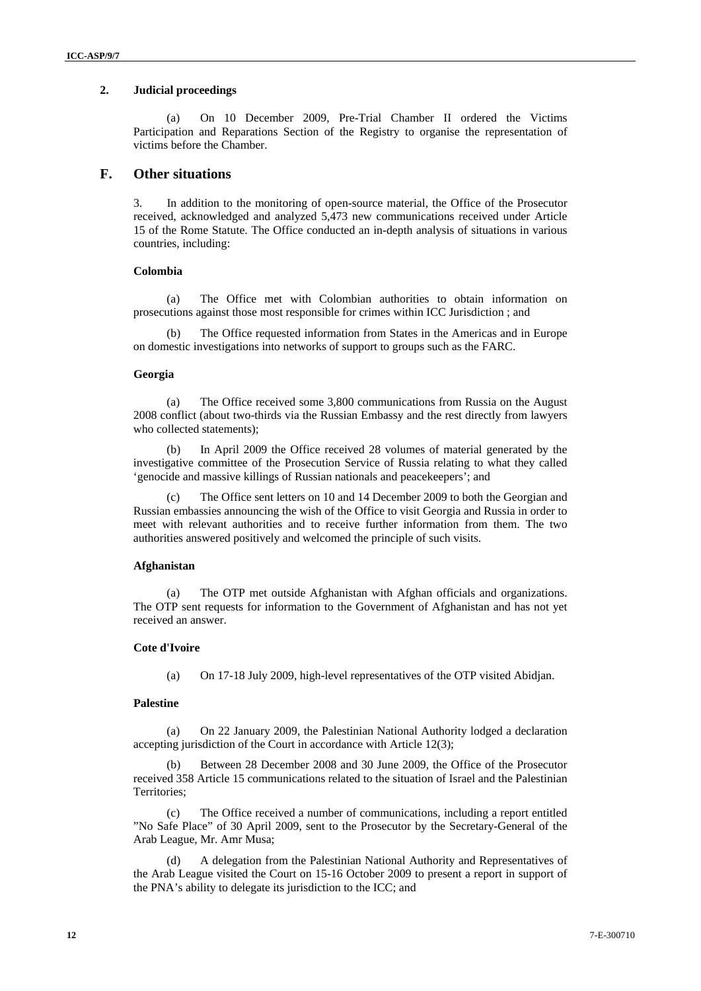#### **2. Judicial proceedings**

(a) On 10 December 2009, Pre-Trial Chamber II ordered the Victims Participation and Reparations Section of the Registry to organise the representation of victims before the Chamber.

### **F. Other situations**

3. In addition to the monitoring of open-source material, the Office of the Prosecutor received, acknowledged and analyzed 5,473 new communications received under Article 15 of the Rome Statute. The Office conducted an in-depth analysis of situations in various countries, including:

#### **Colombia**

(a) The Office met with Colombian authorities to obtain information on prosecutions against those most responsible for crimes within ICC Jurisdiction ; and

The Office requested information from States in the Americas and in Europe on domestic investigations into networks of support to groups such as the FARC.

#### **Georgia**

(a) The Office received some 3,800 communications from Russia on the August 2008 conflict (about two-thirds via the Russian Embassy and the rest directly from lawyers who collected statements);

(b) In April 2009 the Office received 28 volumes of material generated by the investigative committee of the Prosecution Service of Russia relating to what they called 'genocide and massive killings of Russian nationals and peacekeepers'; and

(c) The Office sent letters on 10 and 14 December 2009 to both the Georgian and Russian embassies announcing the wish of the Office to visit Georgia and Russia in order to meet with relevant authorities and to receive further information from them. The two authorities answered positively and welcomed the principle of such visits.

#### **Afghanistan**

(a) The OTP met outside Afghanistan with Afghan officials and organizations. The OTP sent requests for information to the Government of Afghanistan and has not yet received an answer.

#### **Cote d'Ivoire**

(a) On 17-18 July 2009, high-level representatives of the OTP visited Abidjan.

#### **Palestine**

(a) On 22 January 2009, the Palestinian National Authority lodged a declaration accepting jurisdiction of the Court in accordance with Article 12(3);

(b) Between 28 December 2008 and 30 June 2009, the Office of the Prosecutor received 358 Article 15 communications related to the situation of Israel and the Palestinian Territories;

(c) The Office received a number of communications, including a report entitled "No Safe Place" of 30 April 2009, sent to the Prosecutor by the Secretary-General of the Arab League, Mr. Amr Musa;

(d) A delegation from the Palestinian National Authority and Representatives of the Arab League visited the Court on 15-16 October 2009 to present a report in support of the PNA's ability to delegate its jurisdiction to the ICC; and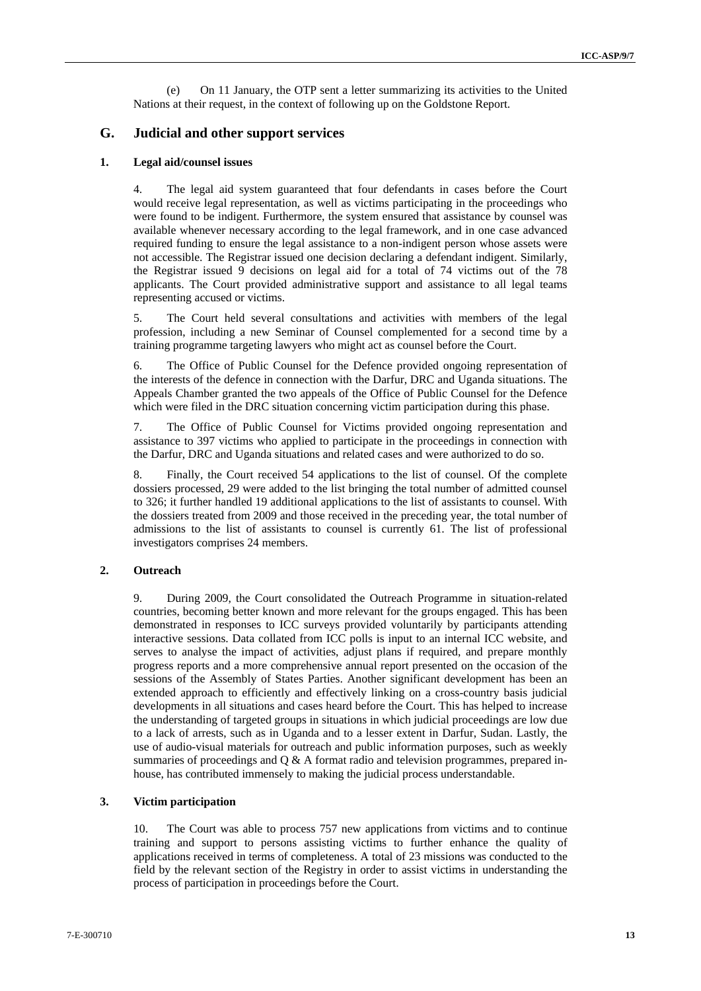(e) On 11 January, the OTP sent a letter summarizing its activities to the United Nations at their request, in the context of following up on the Goldstone Report.

### **G. Judicial and other support services**

#### **1. Legal aid/counsel issues**

4. The legal aid system guaranteed that four defendants in cases before the Court would receive legal representation, as well as victims participating in the proceedings who were found to be indigent. Furthermore, the system ensured that assistance by counsel was available whenever necessary according to the legal framework, and in one case advanced required funding to ensure the legal assistance to a non-indigent person whose assets were not accessible. The Registrar issued one decision declaring a defendant indigent. Similarly, the Registrar issued 9 decisions on legal aid for a total of 74 victims out of the 78 applicants. The Court provided administrative support and assistance to all legal teams representing accused or victims.

5. The Court held several consultations and activities with members of the legal profession, including a new Seminar of Counsel complemented for a second time by a training programme targeting lawyers who might act as counsel before the Court.

6. The Office of Public Counsel for the Defence provided ongoing representation of the interests of the defence in connection with the Darfur, DRC and Uganda situations. The Appeals Chamber granted the two appeals of the Office of Public Counsel for the Defence which were filed in the DRC situation concerning victim participation during this phase.

7. The Office of Public Counsel for Victims provided ongoing representation and assistance to 397 victims who applied to participate in the proceedings in connection with the Darfur, DRC and Uganda situations and related cases and were authorized to do so.

8. Finally, the Court received 54 applications to the list of counsel. Of the complete dossiers processed, 29 were added to the list bringing the total number of admitted counsel to 326; it further handled 19 additional applications to the list of assistants to counsel. With the dossiers treated from 2009 and those received in the preceding year, the total number of admissions to the list of assistants to counsel is currently 61. The list of professional investigators comprises 24 members.

#### **2. Outreach**

9. During 2009, the Court consolidated the Outreach Programme in situation-related countries, becoming better known and more relevant for the groups engaged. This has been demonstrated in responses to ICC surveys provided voluntarily by participants attending interactive sessions. Data collated from ICC polls is input to an internal ICC website, and serves to analyse the impact of activities, adjust plans if required, and prepare monthly progress reports and a more comprehensive annual report presented on the occasion of the sessions of the Assembly of States Parties. Another significant development has been an extended approach to efficiently and effectively linking on a cross-country basis judicial developments in all situations and cases heard before the Court. This has helped to increase the understanding of targeted groups in situations in which judicial proceedings are low due to a lack of arrests, such as in Uganda and to a lesser extent in Darfur, Sudan. Lastly, the use of audio-visual materials for outreach and public information purposes, such as weekly summaries of proceedings and  $Q & A$  format radio and television programmes, prepared inhouse, has contributed immensely to making the judicial process understandable.

#### **3. Victim participation**

10. The Court was able to process 757 new applications from victims and to continue training and support to persons assisting victims to further enhance the quality of applications received in terms of completeness. A total of 23 missions was conducted to the field by the relevant section of the Registry in order to assist victims in understanding the process of participation in proceedings before the Court.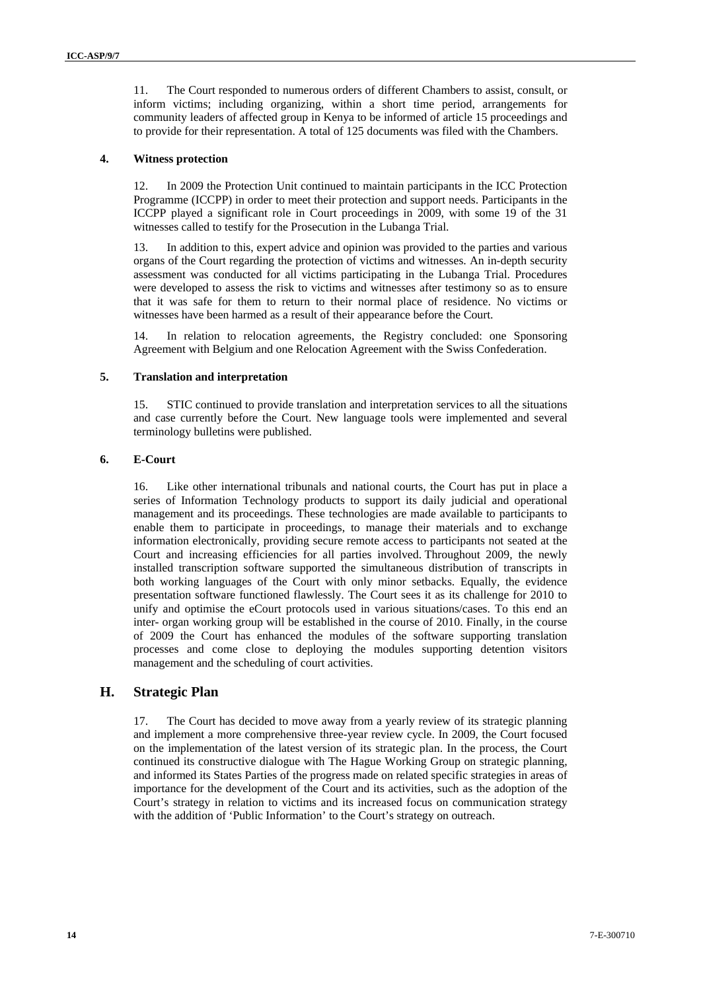11. The Court responded to numerous orders of different Chambers to assist, consult, or inform victims; including organizing, within a short time period, arrangements for community leaders of affected group in Kenya to be informed of article 15 proceedings and to provide for their representation. A total of 125 documents was filed with the Chambers.

#### **4. Witness protection**

12. In 2009 the Protection Unit continued to maintain participants in the ICC Protection Programme (ICCPP) in order to meet their protection and support needs. Participants in the ICCPP played a significant role in Court proceedings in 2009, with some 19 of the 31 witnesses called to testify for the Prosecution in the Lubanga Trial.

13. In addition to this, expert advice and opinion was provided to the parties and various organs of the Court regarding the protection of victims and witnesses. An in-depth security assessment was conducted for all victims participating in the Lubanga Trial. Procedures were developed to assess the risk to victims and witnesses after testimony so as to ensure that it was safe for them to return to their normal place of residence. No victims or witnesses have been harmed as a result of their appearance before the Court.

14. In relation to relocation agreements, the Registry concluded: one Sponsoring Agreement with Belgium and one Relocation Agreement with the Swiss Confederation.

#### **5. Translation and interpretation**

15. STIC continued to provide translation and interpretation services to all the situations and case currently before the Court. New language tools were implemented and several terminology bulletins were published.

#### **6. E-Court**

16. Like other international tribunals and national courts, the Court has put in place a series of Information Technology products to support its daily judicial and operational management and its proceedings. These technologies are made available to participants to enable them to participate in proceedings, to manage their materials and to exchange information electronically, providing secure remote access to participants not seated at the Court and increasing efficiencies for all parties involved. Throughout 2009, the newly installed transcription software supported the simultaneous distribution of transcripts in both working languages of the Court with only minor setbacks. Equally, the evidence presentation software functioned flawlessly. The Court sees it as its challenge for 2010 to unify and optimise the eCourt protocols used in various situations/cases. To this end an inter- organ working group will be established in the course of 2010. Finally, in the course of 2009 the Court has enhanced the modules of the software supporting translation processes and come close to deploying the modules supporting detention visitors management and the scheduling of court activities.

### **H. Strategic Plan**

17. The Court has decided to move away from a yearly review of its strategic planning and implement a more comprehensive three-year review cycle. In 2009, the Court focused on the implementation of the latest version of its strategic plan. In the process, the Court continued its constructive dialogue with The Hague Working Group on strategic planning, and informed its States Parties of the progress made on related specific strategies in areas of importance for the development of the Court and its activities, such as the adoption of the Court's strategy in relation to victims and its increased focus on communication strategy with the addition of 'Public Information' to the Court's strategy on outreach.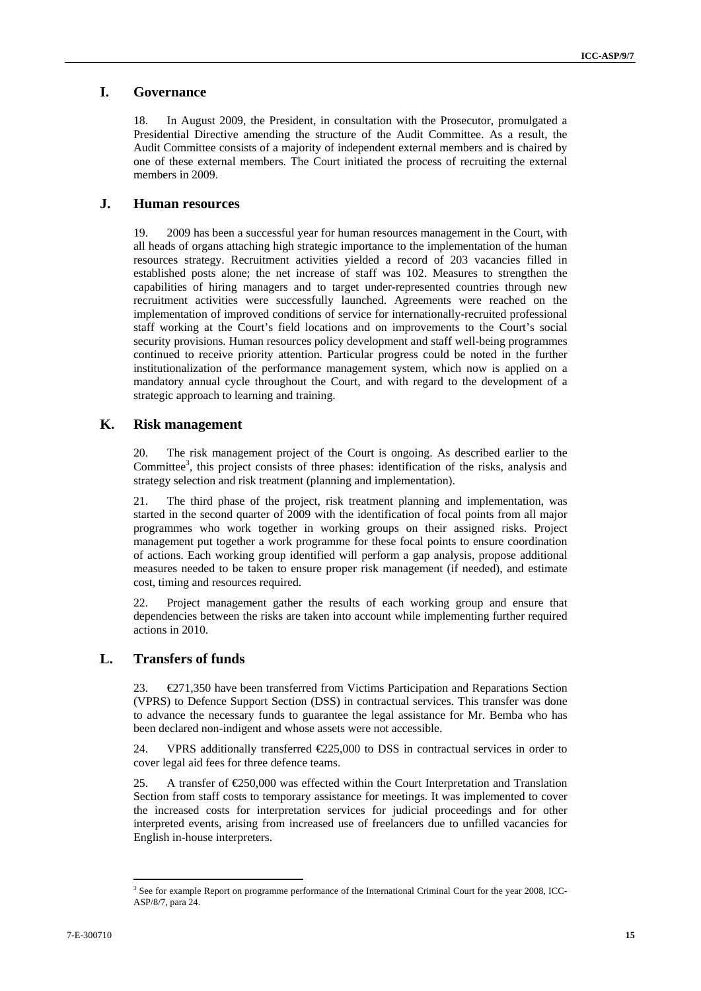## **I. Governance**

18. In August 2009, the President, in consultation with the Prosecutor, promulgated a Presidential Directive amending the structure of the Audit Committee. As a result, the Audit Committee consists of a majority of independent external members and is chaired by one of these external members. The Court initiated the process of recruiting the external members in 2009.

### **J. Human resources**

19. 2009 has been a successful year for human resources management in the Court, with all heads of organs attaching high strategic importance to the implementation of the human resources strategy. Recruitment activities yielded a record of 203 vacancies filled in established posts alone; the net increase of staff was 102. Measures to strengthen the capabilities of hiring managers and to target under-represented countries through new recruitment activities were successfully launched. Agreements were reached on the implementation of improved conditions of service for internationally-recruited professional staff working at the Court's field locations and on improvements to the Court's social security provisions. Human resources policy development and staff well-being programmes continued to receive priority attention. Particular progress could be noted in the further institutionalization of the performance management system, which now is applied on a mandatory annual cycle throughout the Court, and with regard to the development of a strategic approach to learning and training.

### **K. Risk management**

20. The risk management project of the Court is ongoing. As described earlier to the Committee<sup>3</sup>, this project consists of three phases: identification of the risks, analysis and strategy selection and risk treatment (planning and implementation).

21. The third phase of the project, risk treatment planning and implementation, was started in the second quarter of 2009 with the identification of focal points from all major programmes who work together in working groups on their assigned risks. Project management put together a work programme for these focal points to ensure coordination of actions. Each working group identified will perform a gap analysis, propose additional measures needed to be taken to ensure proper risk management (if needed), and estimate cost, timing and resources required.

22. Project management gather the results of each working group and ensure that dependencies between the risks are taken into account while implementing further required actions in 2010.

### **L. Transfers of funds**

23. €271,350 have been transferred from Victims Participation and Reparations Section (VPRS) to Defence Support Section (DSS) in contractual services. This transfer was done to advance the necessary funds to guarantee the legal assistance for Mr. Bemba who has been declared non-indigent and whose assets were not accessible.

24. VPRS additionally transferred  $E$ 25,000 to DSS in contractual services in order to cover legal aid fees for three defence teams.

25. A transfer of  $\text{\textsterling}250,000$  was effected within the Court Interpretation and Translation Section from staff costs to temporary assistance for meetings. It was implemented to cover the increased costs for interpretation services for judicial proceedings and for other interpreted events, arising from increased use of freelancers due to unfilled vacancies for English in-house interpreters.

 $\overline{a}$ 

<sup>&</sup>lt;sup>3</sup> See for example Report on programme performance of the International Criminal Court for the year 2008, ICC-ASP/8/7, para 24.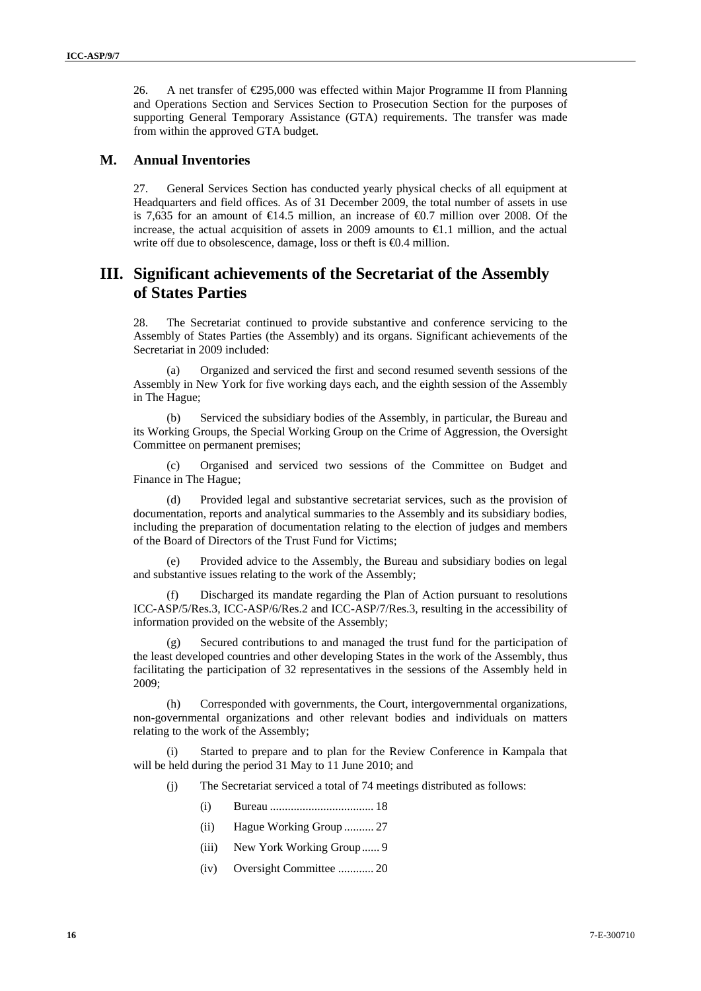26. A net transfer of €295,000 was effected within Major Programme II from Planning and Operations Section and Services Section to Prosecution Section for the purposes of supporting General Temporary Assistance (GTA) requirements. The transfer was made from within the approved GTA budget.

### **M. Annual Inventories**

27. General Services Section has conducted yearly physical checks of all equipment at Headquarters and field offices. As of 31 December 2009, the total number of assets in use is 7,635 for an amount of  $\epsilon$ 4.5 million, an increase of  $\epsilon$ 0.7 million over 2008. Of the increase, the actual acquisition of assets in 2009 amounts to  $\epsilon$ 1.1 million, and the actual write off due to obsolescence, damage, loss or theft is  $\Theta$ .4 million.

## **III. Significant achievements of the Secretariat of the Assembly of States Parties**

28. The Secretariat continued to provide substantive and conference servicing to the Assembly of States Parties (the Assembly) and its organs. Significant achievements of the Secretariat in 2009 included:

(a) Organized and serviced the first and second resumed seventh sessions of the Assembly in New York for five working days each, and the eighth session of the Assembly in The Hague;

(b) Serviced the subsidiary bodies of the Assembly, in particular, the Bureau and its Working Groups, the Special Working Group on the Crime of Aggression, the Oversight Committee on permanent premises;

(c) Organised and serviced two sessions of the Committee on Budget and Finance in The Hague;

(d) Provided legal and substantive secretariat services, such as the provision of documentation, reports and analytical summaries to the Assembly and its subsidiary bodies, including the preparation of documentation relating to the election of judges and members of the Board of Directors of the Trust Fund for Victims;

(e) Provided advice to the Assembly, the Bureau and subsidiary bodies on legal and substantive issues relating to the work of the Assembly;

(f) Discharged its mandate regarding the Plan of Action pursuant to resolutions ICC-ASP/5/Res.3, ICC-ASP/6/Res.2 and ICC-ASP/7/Res.3, resulting in the accessibility of information provided on the website of the Assembly;

(g) Secured contributions to and managed the trust fund for the participation of the least developed countries and other developing States in the work of the Assembly, thus facilitating the participation of 32 representatives in the sessions of the Assembly held in 2009;

(h) Corresponded with governments, the Court, intergovernmental organizations, non-governmental organizations and other relevant bodies and individuals on matters relating to the work of the Assembly;

(i) Started to prepare and to plan for the Review Conference in Kampala that will be held during the period 31 May to 11 June 2010; and

(j) The Secretariat serviced a total of 74 meetings distributed as follows:

- (i) Bureau ................................... 18
- (ii) Hague Working Group .......... 27
- (iii) New York Working Group...... 9
- (iv) Oversight Committee ............ 20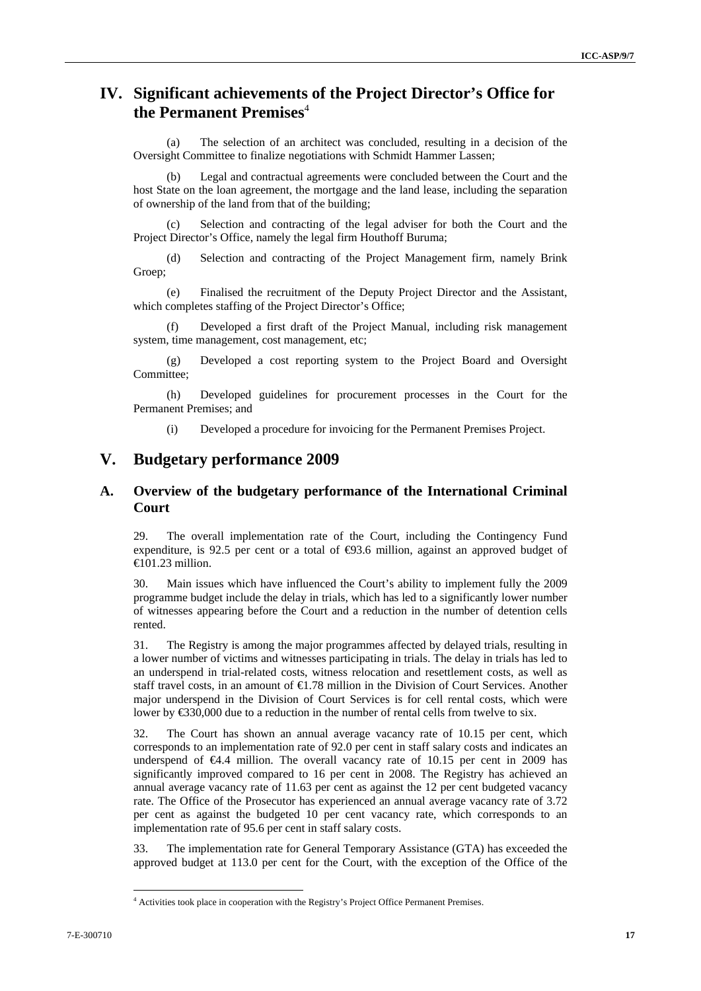## **IV. Significant achievements of the Project Director's Office for the Permanent Premises**<sup>4</sup>

(a) The selection of an architect was concluded, resulting in a decision of the Oversight Committee to finalize negotiations with Schmidt Hammer Lassen;

(b) Legal and contractual agreements were concluded between the Court and the host State on the loan agreement, the mortgage and the land lease, including the separation of ownership of the land from that of the building;

Selection and contracting of the legal adviser for both the Court and the Project Director's Office, namely the legal firm Houthoff Buruma;

(d) Selection and contracting of the Project Management firm, namely Brink Groep;

(e) Finalised the recruitment of the Deputy Project Director and the Assistant, which completes staffing of the Project Director's Office;

(f) Developed a first draft of the Project Manual, including risk management system, time management, cost management, etc;

(g) Developed a cost reporting system to the Project Board and Oversight Committee;

(h) Developed guidelines for procurement processes in the Court for the Permanent Premises; and

(i) Developed a procedure for invoicing for the Permanent Premises Project.

## **V. Budgetary performance 2009**

### **A. Overview of the budgetary performance of the International Criminal Court**

29. The overall implementation rate of the Court, including the Contingency Fund expenditure, is 92.5 per cent or a total of  $\bigoplus$ 3.6 million, against an approved budget of  $\bigoplus$  01.23 million.

30. Main issues which have influenced the Court's ability to implement fully the 2009 programme budget include the delay in trials, which has led to a significantly lower number of witnesses appearing before the Court and a reduction in the number of detention cells rented.

31. The Registry is among the major programmes affected by delayed trials, resulting in a lower number of victims and witnesses participating in trials. The delay in trials has led to an underspend in trial-related costs, witness relocation and resettlement costs, as well as staff travel costs, in an amount of €1.78 million in the Division of Court Services. Another major underspend in the Division of Court Services is for cell rental costs, which were lower by €330,000 due to a reduction in the number of rental cells from twelve to six.

32. The Court has shown an annual average vacancy rate of 10.15 per cent, which corresponds to an implementation rate of 92.0 per cent in staff salary costs and indicates an underspend of  $\bigoplus$ .4 million. The overall vacancy rate of 10.15 per cent in 2009 has significantly improved compared to 16 per cent in 2008. The Registry has achieved an annual average vacancy rate of 11.63 per cent as against the 12 per cent budgeted vacancy rate. The Office of the Prosecutor has experienced an annual average vacancy rate of 3.72 per cent as against the budgeted 10 per cent vacancy rate, which corresponds to an implementation rate of 95.6 per cent in staff salary costs.

33. The implementation rate for General Temporary Assistance (GTA) has exceeded the approved budget at 113.0 per cent for the Court, with the exception of the Office of the

 $\overline{a}$ 

<sup>&</sup>lt;sup>4</sup> Activities took place in cooperation with the Registry's Project Office Permanent Premises.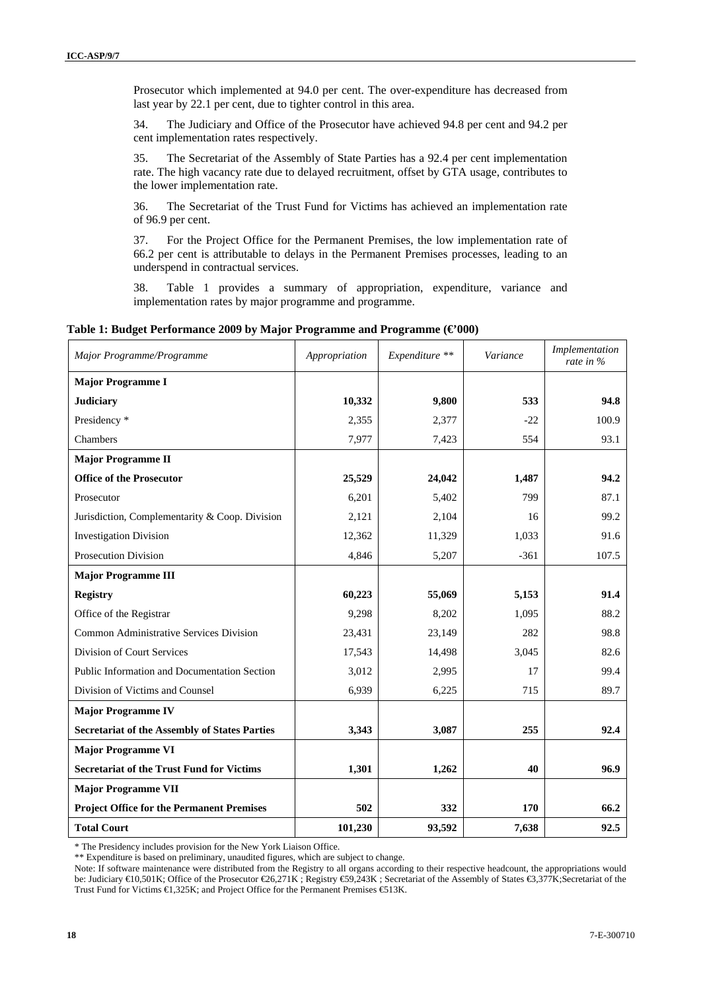Prosecutor which implemented at 94.0 per cent. The over-expenditure has decreased from last year by 22.1 per cent, due to tighter control in this area.

34. The Judiciary and Office of the Prosecutor have achieved 94.8 per cent and 94.2 per cent implementation rates respectively.

35. The Secretariat of the Assembly of State Parties has a 92.4 per cent implementation rate. The high vacancy rate due to delayed recruitment, offset by GTA usage, contributes to the lower implementation rate.

36. The Secretariat of the Trust Fund for Victims has achieved an implementation rate of 96.9 per cent.

37. For the Project Office for the Permanent Premises, the low implementation rate of 66.2 per cent is attributable to delays in the Permanent Premises processes, leading to an underspend in contractual services.

38. Table 1 provides a summary of appropriation, expenditure, variance and implementation rates by major programme and programme.

| Major Programme/Programme                            | Appropriation | Expenditure ** | Variance | Implementation<br>rate in % |
|------------------------------------------------------|---------------|----------------|----------|-----------------------------|
| <b>Major Programme I</b>                             |               |                |          |                             |
| <b>Judiciary</b>                                     | 10,332        | 9,800          | 533      | 94.8                        |
| Presidency *                                         | 2,355         | 2,377          | $-22$    | 100.9                       |
| Chambers                                             | 7,977         | 7,423          | 554      | 93.1                        |
| <b>Major Programme II</b>                            |               |                |          |                             |
| <b>Office of the Prosecutor</b>                      | 25,529        | 24,042         | 1,487    | 94.2                        |
| Prosecutor                                           | 6,201         | 5,402          | 799      | 87.1                        |
| Jurisdiction, Complementarity & Coop. Division       | 2,121         | 2,104          | 16       | 99.2                        |
| <b>Investigation Division</b>                        | 12,362        | 11,329         | 1,033    | 91.6                        |
| Prosecution Division                                 | 4,846         | 5,207          | $-361$   | 107.5                       |
| <b>Major Programme III</b>                           |               |                |          |                             |
| <b>Registry</b>                                      | 60,223        | 55,069         | 5,153    | 91.4                        |
| Office of the Registrar                              | 9,298         | 8,202          | 1,095    | 88.2                        |
| Common Administrative Services Division              | 23,431        | 23,149         | 282      | 98.8                        |
| Division of Court Services                           | 17,543        | 14,498         | 3,045    | 82.6                        |
| Public Information and Documentation Section         | 3,012         | 2,995          | 17       | 99.4                        |
| Division of Victims and Counsel                      | 6,939         | 6,225          | 715      | 89.7                        |
| <b>Major Programme IV</b>                            |               |                |          |                             |
| <b>Secretariat of the Assembly of States Parties</b> | 3,343         | 3,087          | 255      | 92.4                        |
| <b>Major Programme VI</b>                            |               |                |          |                             |
| <b>Secretariat of the Trust Fund for Victims</b>     | 1,301         | 1,262          | 40       | 96.9                        |
| <b>Major Programme VII</b>                           |               |                |          |                             |
| <b>Project Office for the Permanent Premises</b>     | 502           | 332            | 170      | 66.2                        |
| <b>Total Court</b>                                   | 101,230       | 93,592         | 7,638    | 92.5                        |

#### **Table 1: Budget Performance 2009 by Major Programme and Programme (€'000)**

\* The Presidency includes provision for the New York Liaison Office.

\*\* Expenditure is based on preliminary, unaudited figures, which are subject to change.

Note: If software maintenance were distributed from the Registry to all organs according to their respective headcount, the appropriations would be: Judiciary €10,501K; Office of the Prosecutor €26,271K ; Registry €59,243K ; Secretariat of the Assembly of States €3,377K;Secretariat of the Trust Fund for Victims €1,325K; and Project Office for the Permanent Premises €513K.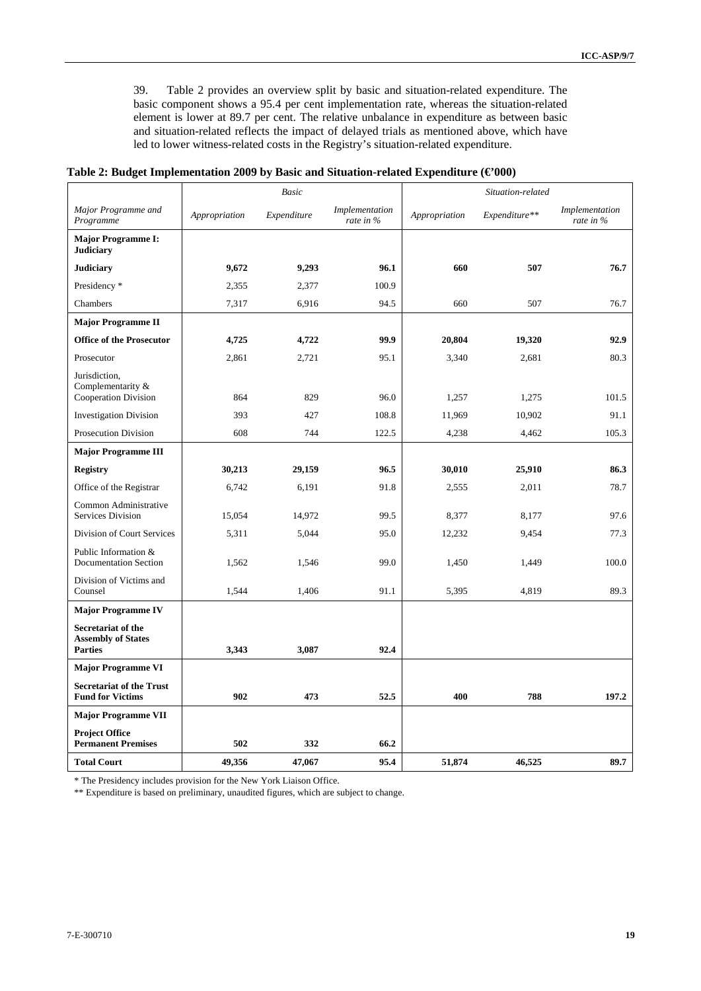39. Table 2 provides an overview split by basic and situation-related expenditure. The basic component shows a 95.4 per cent implementation rate, whereas the situation-related element is lower at 89.7 per cent. The relative unbalance in expenditure as between basic and situation-related reflects the impact of delayed trials as mentioned above, which have led to lower witness-related costs in the Registry's situation-related expenditure.

|  |  | Table 2: Budget Implementation 2009 by Basic and Situation-related Expenditure ( $\epsilon$ 000) |  |
|--|--|--------------------------------------------------------------------------------------------------|--|
|  |  |                                                                                                  |  |

|                                                                   |               | Basic       |                             |               | Situation-related |                             |
|-------------------------------------------------------------------|---------------|-------------|-----------------------------|---------------|-------------------|-----------------------------|
| Major Programme and<br>Programme                                  | Appropriation | Expenditure | Implementation<br>rate in % | Appropriation | Expenditure**     | Implementation<br>rate in % |
| <b>Major Programme I:</b><br><b>Judiciary</b>                     |               |             |                             |               |                   |                             |
| <b>Judiciary</b>                                                  | 9.672         | 9,293       | 96.1                        | 660           | 507               | 76.7                        |
| Presidency *                                                      | 2,355         | 2,377       | 100.9                       |               |                   |                             |
| Chambers                                                          | 7,317         | 6,916       | 94.5                        | 660           | 507               | 76.7                        |
| <b>Major Programme II</b>                                         |               |             |                             |               |                   |                             |
| <b>Office of the Prosecutor</b>                                   | 4,725         | 4,722       | 99.9                        | 20,804        | 19,320            | 92.9                        |
| Prosecutor                                                        | 2,861         | 2,721       | 95.1                        | 3,340         | 2,681             | 80.3                        |
| Jurisdiction,<br>Complementarity &<br>Cooperation Division        | 864           | 829         | 96.0                        | 1,257         | 1,275             | 101.5                       |
| <b>Investigation Division</b>                                     | 393           | 427         | 108.8                       | 11,969        | 10,902            | 91.1                        |
| Prosecution Division                                              | 608           | 744         | 122.5                       | 4,238         | 4,462             | 105.3                       |
| <b>Major Programme III</b>                                        |               |             |                             |               |                   |                             |
| <b>Registry</b>                                                   | 30,213        | 29,159      | 96.5                        | 30,010        | 25,910            | 86.3                        |
| Office of the Registrar                                           | 6,742         | 6,191       | 91.8                        | 2,555         | 2,011             | 78.7                        |
| Common Administrative<br>Services Division                        | 15,054        | 14,972      | 99.5                        | 8,377         | 8,177             | 97.6                        |
| Division of Court Services                                        | 5,311         | 5,044       | 95.0                        | 12,232        | 9,454             | 77.3                        |
| Public Information &<br><b>Documentation Section</b>              | 1,562         | 1,546       | 99.0                        | 1,450         | 1,449             | 100.0                       |
| Division of Victims and<br>Counsel                                | 1,544         | 1,406       | 91.1                        | 5,395         | 4,819             | 89.3                        |
| <b>Major Programme IV</b>                                         |               |             |                             |               |                   |                             |
| Secretariat of the<br><b>Assembly of States</b><br><b>Parties</b> | 3,343         | 3,087       | 92.4                        |               |                   |                             |
| <b>Major Programme VI</b>                                         |               |             |                             |               |                   |                             |
| <b>Secretariat of the Trust</b><br><b>Fund for Victims</b>        | 902           | 473         | 52.5                        | 400           | 788               | 197.2                       |
| <b>Major Programme VII</b>                                        |               |             |                             |               |                   |                             |
| <b>Project Office</b><br><b>Permanent Premises</b>                | 502           | 332         | 66.2                        |               |                   |                             |
| <b>Total Court</b>                                                | 49,356        | 47,067      | 95.4                        | 51,874        | 46,525            | 89.7                        |

\* The Presidency includes provision for the New York Liaison Office.

\*\* Expenditure is based on preliminary, unaudited figures, which are subject to change.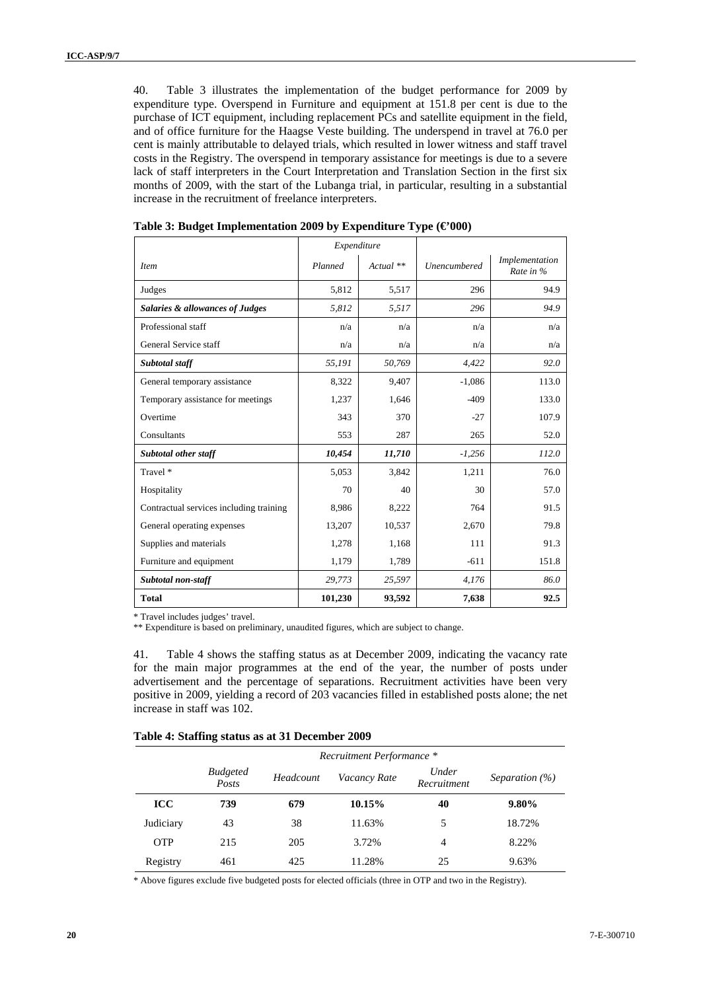40. Table 3 illustrates the implementation of the budget performance for 2009 by expenditure type. Overspend in Furniture and equipment at 151.8 per cent is due to the purchase of ICT equipment, including replacement PCs and satellite equipment in the field, and of office furniture for the Haagse Veste building. The underspend in travel at 76.0 per cent is mainly attributable to delayed trials, which resulted in lower witness and staff travel costs in the Registry. The overspend in temporary assistance for meetings is due to a severe lack of staff interpreters in the Court Interpretation and Translation Section in the first six months of 2009, with the start of the Lubanga trial, in particular, resulting in a substantial increase in the recruitment of freelance interpreters.

|                                            | Expenditure |             |                     |                             |
|--------------------------------------------|-------------|-------------|---------------------|-----------------------------|
| <b>Item</b>                                | Planned     | $Actual$ ** | <b>Unencumbered</b> | Implementation<br>Rate in % |
| Judges                                     | 5,812       | 5,517       | 296                 | 94.9                        |
| <b>Salaries &amp; allowances of Judges</b> | 5,812       | 5,517       | 296                 | 94.9                        |
| Professional staff                         | n/a         | n/a         | n/a                 | n/a                         |
| General Service staff                      | n/a         | n/a         | n/a                 | n/a                         |
| Subtotal staff                             | 55,191      | 50,769      | 4,422               | 92.0                        |
| General temporary assistance               | 8.322       | 9,407       | $-1,086$            | 113.0                       |
| Temporary assistance for meetings          | 1,237       | 1,646       | $-409$              | 133.0                       |
| Overtime                                   | 343         | 370         | $-27$               | 107.9                       |
| Consultants                                | 553         | 287         | 265                 | 52.0                        |
| <b>Subtotal other staff</b>                | 10,454      | 11,710      | $-1,256$            | 112.0                       |
| Travel *                                   | 5,053       | 3,842       | 1,211               | 76.0                        |
| Hospitality                                | 70          | 40          | 30                  | 57.0                        |
| Contractual services including training    | 8,986       | 8,222       | 764                 | 91.5                        |
| General operating expenses                 | 13,207      | 10,537      | 2,670               | 79.8                        |
| Supplies and materials                     | 1,278       | 1,168       | 111                 | 91.3                        |
| Furniture and equipment                    | 1,179       | 1,789       | $-611$              | 151.8                       |
| Subtotal non-staff                         | 29,773      | 25,597      | 4,176               | 86.0                        |
| <b>Total</b>                               | 101,230     | 93,592      | 7,638               | 92.5                        |

**Table 3: Budget Implementation 2009 by Expenditure Type (€'000)** 

\* Travel includes judges' travel.

\*\* Expenditure is based on preliminary, unaudited figures, which are subject to change.

41. Table 4 shows the staffing status as at December 2009, indicating the vacancy rate for the main major programmes at the end of the year, the number of posts under advertisement and the percentage of separations. Recruitment activities have been very positive in 2009, yielding a record of 203 vacancies filled in established posts alone; the net increase in staff was 102.

|  |  | Table 4: Staffing status as at 31 December 2009 |  |
|--|--|-------------------------------------------------|--|
|  |  |                                                 |  |

|            | Recruitment Performance * |           |              |                      |                    |  |  |
|------------|---------------------------|-----------|--------------|----------------------|--------------------|--|--|
|            | <b>Budgeted</b><br>Posts  | Headcount | Vacancy Rate | Under<br>Recruitment | Separation $(\% )$ |  |  |
| ICC        | 739                       | 679       | 10.15%       | 40                   | $9.80\%$           |  |  |
| Judiciary  | 43                        | 38        | 11.63%       | 5                    | 18.72%             |  |  |
| <b>OTP</b> | 215                       | 205       | 3.72%        | $\overline{4}$       | 8.22%              |  |  |
| Registry   | 461                       | 425       | 11.28%       | 25                   | 9.63%              |  |  |

\* Above figures exclude five budgeted posts for elected officials (three in OTP and two in the Registry).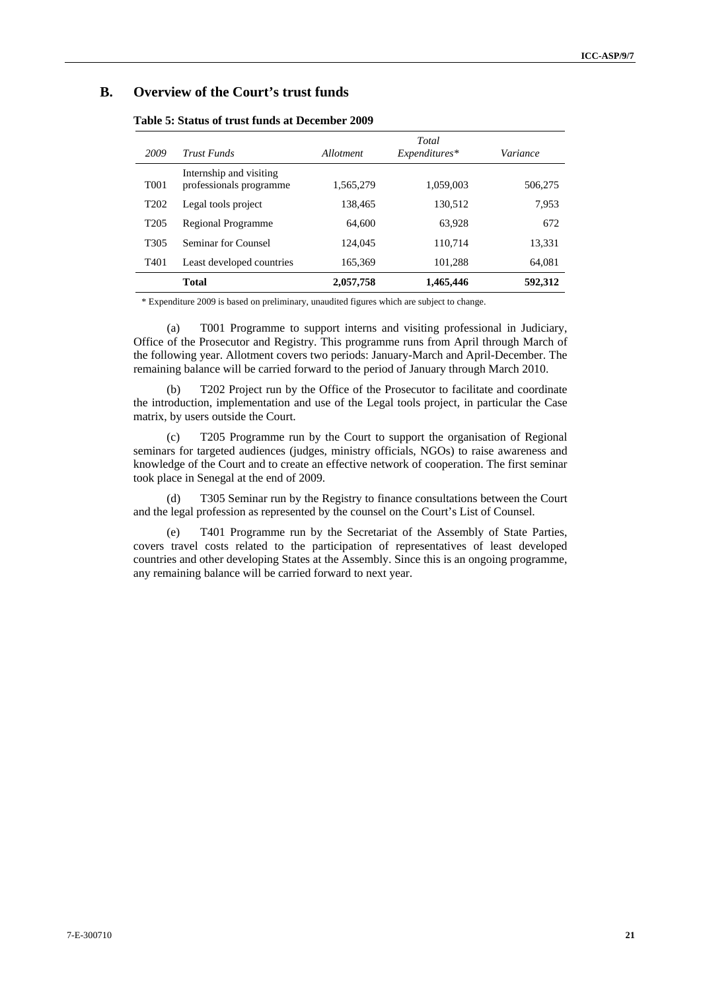## **B. Overview of the Court's trust funds**

| 2009             | <b>Trust Funds</b>                                 | Allotment | Total<br>Expenditures* | Variance |
|------------------|----------------------------------------------------|-----------|------------------------|----------|
| T <sub>001</sub> | Internship and visiting<br>professionals programme | 1,565,279 | 1,059,003              | 506,275  |
| T <sub>202</sub> | Legal tools project                                | 138,465   | 130,512                | 7,953    |
| T <sub>205</sub> | Regional Programme                                 | 64,600    | 63,928                 | 672      |
| T <sub>305</sub> | Seminar for Counsel                                | 124,045   | 110,714                | 13,331   |
| T <sub>401</sub> | Least developed countries                          | 165,369   | 101,288                | 64,081   |
|                  | <b>Total</b>                                       | 2,057,758 | 1,465,446              | 592,312  |

**Table 5: Status of trust funds at December 2009** 

\* Expenditure 2009 is based on preliminary, unaudited figures which are subject to change.

(a) T001 Programme to support interns and visiting professional in Judiciary, Office of the Prosecutor and Registry. This programme runs from April through March of the following year. Allotment covers two periods: January-March and April-December. The remaining balance will be carried forward to the period of January through March 2010.

(b) T202 Project run by the Office of the Prosecutor to facilitate and coordinate the introduction, implementation and use of the Legal tools project, in particular the Case matrix, by users outside the Court.

(c) T205 Programme run by the Court to support the organisation of Regional seminars for targeted audiences (judges, ministry officials, NGOs) to raise awareness and knowledge of the Court and to create an effective network of cooperation. The first seminar took place in Senegal at the end of 2009.

(d) T305 Seminar run by the Registry to finance consultations between the Court and the legal profession as represented by the counsel on the Court's List of Counsel.

(e) T401 Programme run by the Secretariat of the Assembly of State Parties, covers travel costs related to the participation of representatives of least developed countries and other developing States at the Assembly. Since this is an ongoing programme, any remaining balance will be carried forward to next year.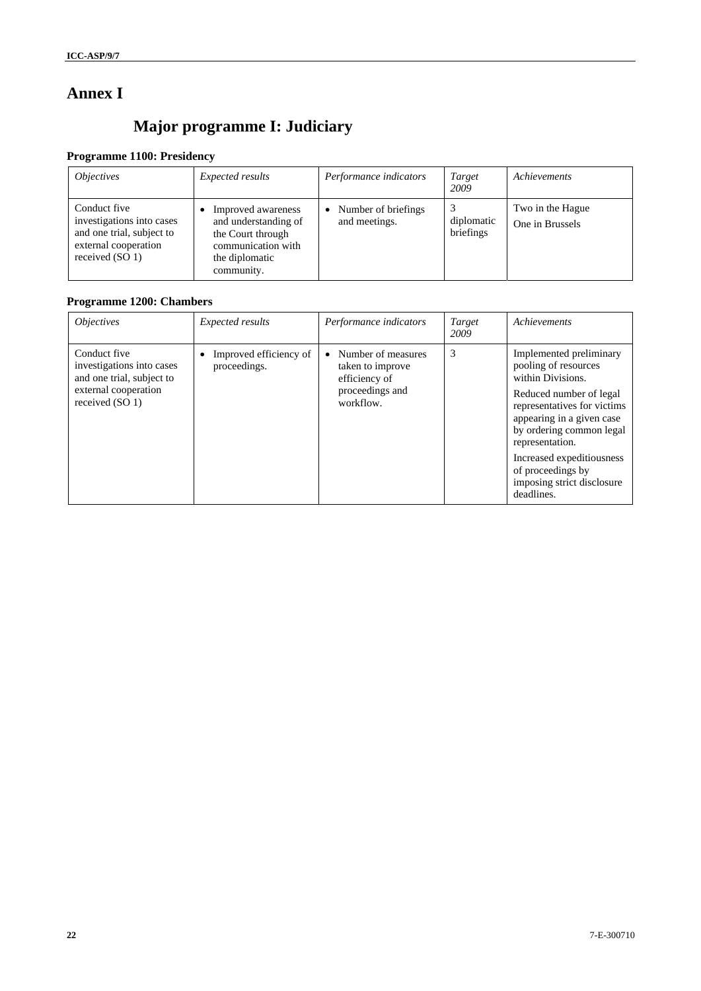## **Annex I**

# **Major programme I: Judiciary**

## **Programme 1100: Presidency**

| <i><b>Objectives</b></i>                                                                                          | Expected results                                                                                                      | Performance indicators               | Target<br>2009          | Achievements                        |
|-------------------------------------------------------------------------------------------------------------------|-----------------------------------------------------------------------------------------------------------------------|--------------------------------------|-------------------------|-------------------------------------|
| Conduct five<br>investigations into cases<br>and one trial, subject to<br>external cooperation<br>received (SO 1) | Improved awareness<br>and understanding of<br>the Court through<br>communication with<br>the diplomatic<br>community. | Number of briefings<br>and meetings. | diplomatic<br>briefings | Two in the Hague<br>One in Brussels |

## **Programme 1200: Chambers**

| <i><b>Objectives</b></i>                                                                                          | Expected results                       | Performance indicators                                                                  | Target<br>2009 | Achievements                                                                                                                                                                                                                                                                                             |
|-------------------------------------------------------------------------------------------------------------------|----------------------------------------|-----------------------------------------------------------------------------------------|----------------|----------------------------------------------------------------------------------------------------------------------------------------------------------------------------------------------------------------------------------------------------------------------------------------------------------|
| Conduct five<br>investigations into cases<br>and one trial, subject to<br>external cooperation<br>received (SO 1) | Improved efficiency of<br>proceedings. | Number of measures<br>taken to improve<br>efficiency of<br>proceedings and<br>workflow. | 3              | Implemented preliminary<br>pooling of resources<br>within Divisions.<br>Reduced number of legal<br>representatives for victims<br>appearing in a given case<br>by ordering common legal<br>representation.<br>Increased expeditiousness<br>of proceedings by<br>imposing strict disclosure<br>deadlines. |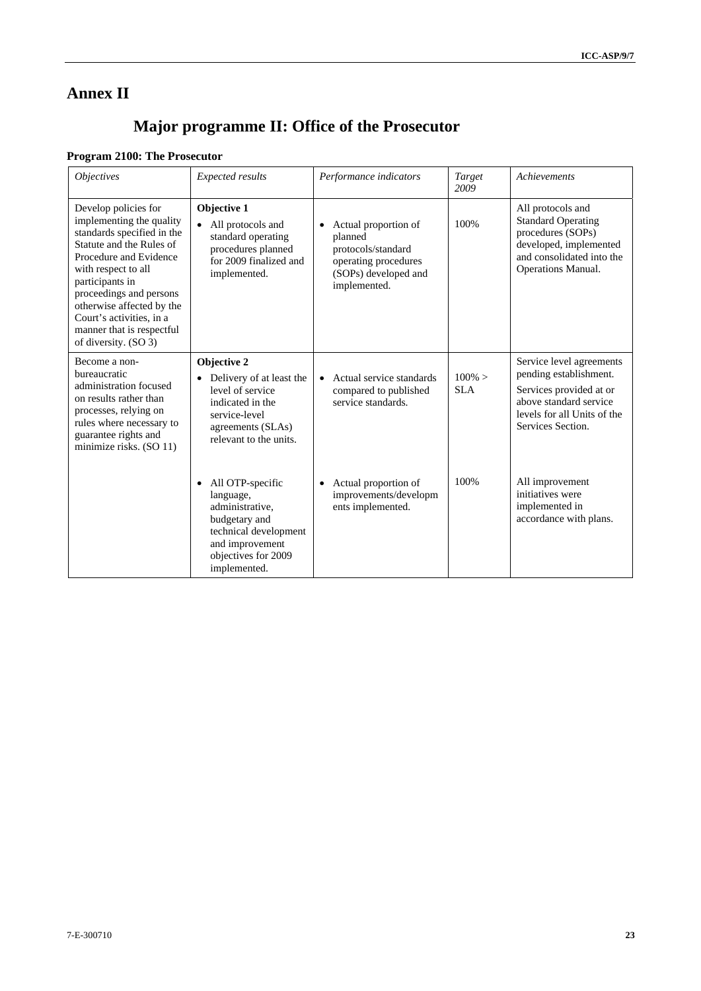## **Annex II**

# **Major programme II: Office of the Prosecutor**

## **Program 2100: The Prosecutor**

| <i><b>Objectives</b></i>                                                                                                                                                                                                                                                                                                | Expected results                                                                                                                                                  | Performance indicators                                                                                                             | Target<br>2009          | Achievements                                                                                                                                                |
|-------------------------------------------------------------------------------------------------------------------------------------------------------------------------------------------------------------------------------------------------------------------------------------------------------------------------|-------------------------------------------------------------------------------------------------------------------------------------------------------------------|------------------------------------------------------------------------------------------------------------------------------------|-------------------------|-------------------------------------------------------------------------------------------------------------------------------------------------------------|
| Develop policies for<br>implementing the quality<br>standards specified in the<br>Statute and the Rules of<br>Procedure and Evidence<br>with respect to all<br>participants in<br>proceedings and persons<br>otherwise affected by the<br>Court's activities, in a<br>manner that is respectful<br>of diversity. (SO 3) | Objective 1<br>$\bullet$<br>All protocols and<br>standard operating<br>procedures planned<br>for 2009 finalized and<br>implemented.                               | Actual proportion of<br>$\bullet$<br>planned<br>protocols/standard<br>operating procedures<br>(SOPs) developed and<br>implemented. | 100%                    | All protocols and<br><b>Standard Operating</b><br>procedures (SOPs)<br>developed, implemented<br>and consolidated into the<br><b>Operations Manual.</b>     |
| Become a non-<br>bureaucratic<br>administration focused<br>on results rather than<br>processes, relying on<br>rules where necessary to<br>guarantee rights and<br>minimize risks. (SO 11)                                                                                                                               | Objective 2<br>Delivery of at least the<br>$\bullet$<br>level of service<br>indicated in the<br>service-level<br>agreements (SLAs)<br>relevant to the units.      | Actual service standards<br>$\bullet$<br>compared to published<br>service standards.                                               | $100\% >$<br><b>SLA</b> | Service level agreements<br>pending establishment.<br>Services provided at or<br>above standard service<br>levels for all Units of the<br>Services Section. |
|                                                                                                                                                                                                                                                                                                                         | All OTP-specific<br>$\bullet$<br>language,<br>administrative.<br>budgetary and<br>technical development<br>and improvement<br>objectives for 2009<br>implemented. | Actual proportion of<br>improvements/developm<br>ents implemented.                                                                 | 100%                    | All improvement<br>initiatives were<br>implemented in<br>accordance with plans.                                                                             |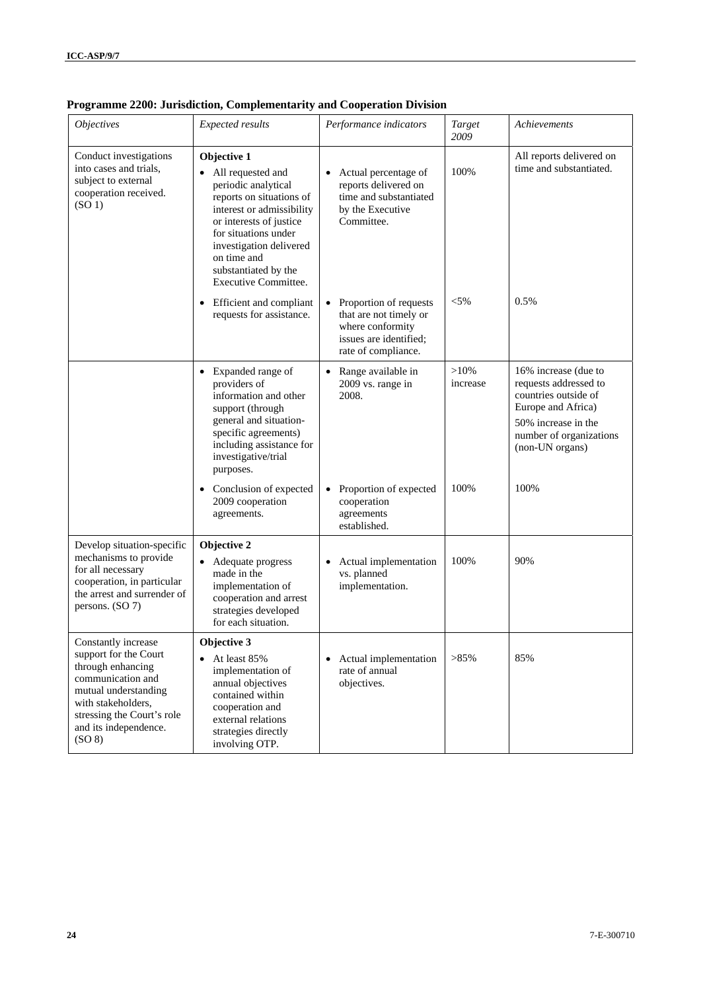| <b>Objectives</b>                                                                                                                                                                                     | <b>Expected results</b>                                                                                                                                                                                                                                         | Performance indicators                                                                                                             | Target<br>2009      | Achievements                                                                                                                                                     |
|-------------------------------------------------------------------------------------------------------------------------------------------------------------------------------------------------------|-----------------------------------------------------------------------------------------------------------------------------------------------------------------------------------------------------------------------------------------------------------------|------------------------------------------------------------------------------------------------------------------------------------|---------------------|------------------------------------------------------------------------------------------------------------------------------------------------------------------|
| Conduct investigations<br>into cases and trials,<br>subject to external<br>cooperation received.<br>(SO <sub>1</sub> )                                                                                | Objective 1<br>• All requested and<br>periodic analytical<br>reports on situations of<br>interest or admissibility<br>or interests of justice<br>for situations under<br>investigation delivered<br>on time and<br>substantiated by the<br>Executive Committee. | Actual percentage of<br>reports delivered on<br>time and substantiated<br>by the Executive<br>Committee.                           | 100%                | All reports delivered on<br>time and substantiated.                                                                                                              |
|                                                                                                                                                                                                       | Efficient and compliant<br>$\bullet$<br>requests for assistance.                                                                                                                                                                                                | Proportion of requests<br>$\bullet$<br>that are not timely or<br>where conformity<br>issues are identified;<br>rate of compliance. | $< 5\%$             | 0.5%                                                                                                                                                             |
|                                                                                                                                                                                                       | • Expanded range of<br>providers of<br>information and other<br>support (through<br>general and situation-<br>specific agreements)<br>including assistance for<br>investigative/trial<br>purposes.                                                              | Range available in<br>$\bullet$<br>2009 vs. range in<br>2008.                                                                      | $>10\%$<br>increase | 16% increase (due to<br>requests addressed to<br>countries outside of<br>Europe and Africa)<br>50% increase in the<br>number of organizations<br>(non-UN organs) |
|                                                                                                                                                                                                       | Conclusion of expected<br>$\bullet$<br>2009 cooperation<br>agreements.                                                                                                                                                                                          | Proportion of expected<br>$\bullet$<br>cooperation<br>agreements<br>established.                                                   | 100%                | 100%                                                                                                                                                             |
| Develop situation-specific<br>mechanisms to provide<br>for all necessary<br>cooperation, in particular<br>the arrest and surrender of<br>persons. (SO 7)                                              | Objective 2<br>• Adequate progress<br>made in the<br>implementation of<br>cooperation and arrest<br>strategies developed<br>for each situation.                                                                                                                 | Actual implementation<br>$\bullet$<br>vs. planned<br>implementation.                                                               | 100%                | 90%                                                                                                                                                              |
| Constantly increase<br>support for the Court<br>through enhancing<br>communication and<br>mutual understanding<br>with stakeholders,<br>stressing the Court's role<br>and its independence.<br>(SO 8) | Objective 3<br>• At least $85%$<br>implementation of<br>annual objectives<br>contained within<br>cooperation and<br>external relations<br>strategies directly<br>involving OTP.                                                                                 | Actual implementation<br>$\bullet$<br>rate of annual<br>objectives.                                                                | >85%                | 85%                                                                                                                                                              |

## **Programme 2200: Jurisdiction, Complementarity and Cooperation Division**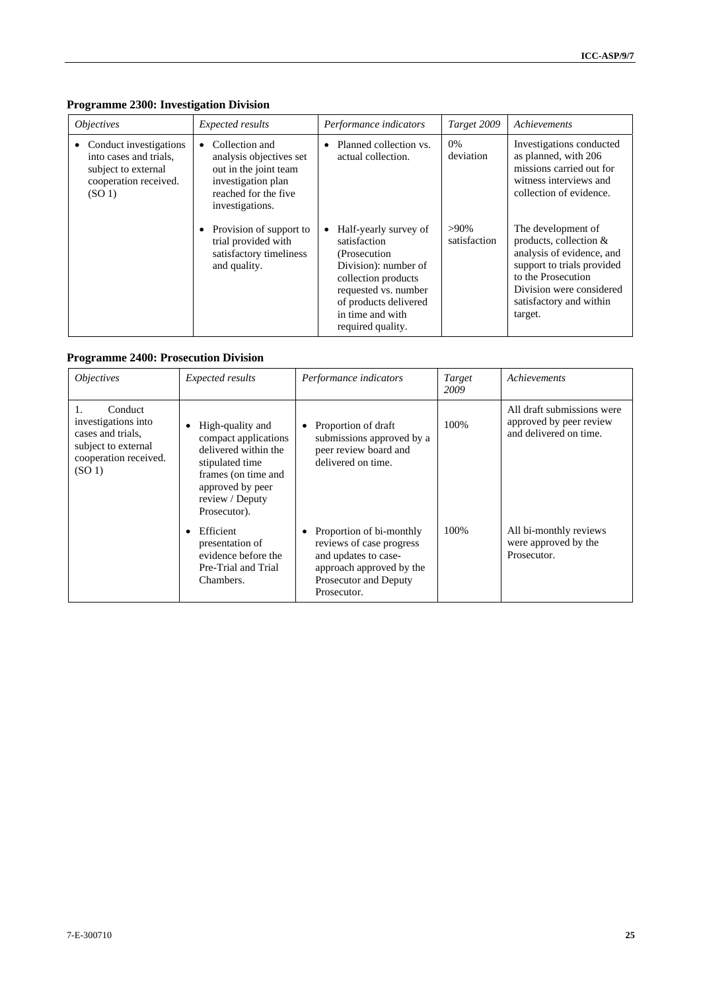| <i><b>Objectives</b></i>                                                                                                 | Expected results                                                                                                                                 | Performance indicators                                                                                                                                                                                       | Target 2009             | Achievements                                                                                                                                                                                    |
|--------------------------------------------------------------------------------------------------------------------------|--------------------------------------------------------------------------------------------------------------------------------------------------|--------------------------------------------------------------------------------------------------------------------------------------------------------------------------------------------------------------|-------------------------|-------------------------------------------------------------------------------------------------------------------------------------------------------------------------------------------------|
| • Conduct investigations<br>into cases and trials,<br>subject to external<br>cooperation received.<br>(SO <sub>1</sub> ) | Collection and<br>$\bullet$<br>analysis objectives set<br>out in the joint team<br>investigation plan<br>reached for the five<br>investigations. | Planned collection vs.<br>$\bullet$<br>actual collection.                                                                                                                                                    | 0%<br>deviation         | Investigations conducted<br>as planned, with 206<br>missions carried out for<br>witness interviews and<br>collection of evidence.                                                               |
|                                                                                                                          | Provision of support to<br>trial provided with<br>satisfactory timeliness<br>and quality.                                                        | Half-yearly survey of<br>$\bullet$<br>satisfaction<br>(Prosecution)<br>Division): number of<br>collection products<br>requested vs. number<br>of products delivered<br>in time and with<br>required quality. | $>90\%$<br>satisfaction | The development of<br>products, collection &<br>analysis of evidence, and<br>support to trials provided<br>to the Prosecution<br>Division were considered<br>satisfactory and within<br>target. |

## **Programme 2300: Investigation Division**

## **Programme 2400: Prosecution Division**

| <i><b>Objectives</b></i>                                                                                                        | Expected results                                                                                                                                                  | Performance indicators                                                                                                                                | Target<br>2009 | Achievements                                                                    |
|---------------------------------------------------------------------------------------------------------------------------------|-------------------------------------------------------------------------------------------------------------------------------------------------------------------|-------------------------------------------------------------------------------------------------------------------------------------------------------|----------------|---------------------------------------------------------------------------------|
| Conduct<br>1.<br>investigations into<br>cases and trials,<br>subject to external<br>cooperation received.<br>(SO <sub>1</sub> ) | High-quality and<br>compact applications<br>delivered within the<br>stipulated time<br>frames (on time and<br>approved by peer<br>review / Deputy<br>Prosecutor). | Proportion of draft<br>$\bullet$<br>submissions approved by a<br>peer review board and<br>delivered on time.                                          | 100%           | All draft submissions were<br>approved by peer review<br>and delivered on time. |
|                                                                                                                                 | Efficient<br>presentation of<br>evidence before the<br>Pre-Trial and Trial<br>Chambers.                                                                           | Proportion of bi-monthly<br>٠<br>reviews of case progress<br>and updates to case-<br>approach approved by the<br>Prosecutor and Deputy<br>Prosecutor. | 100\%          | All bi-monthly reviews<br>were approved by the<br>Prosecutor.                   |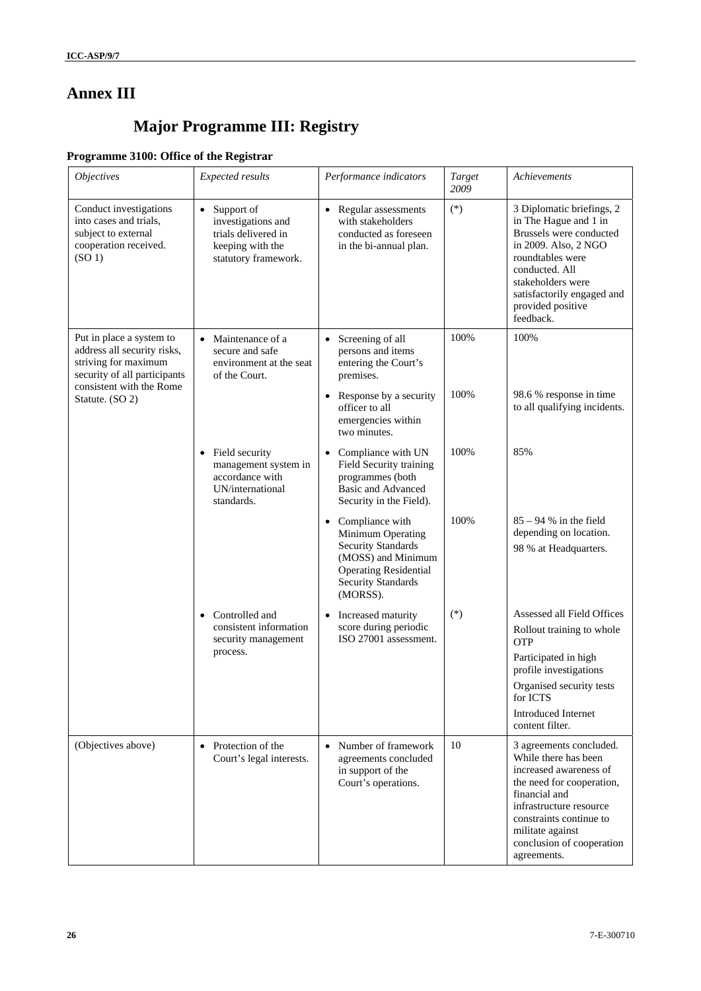## **Annex III**

# **Major Programme III: Registry**

## **Programme 3100: Office of the Registrar**

| <b>Objectives</b>                                                                                                                           | Expected results                                                                                                 | Performance indicators                                                                                                                                             | Target<br>2009 | Achievements                                                                                                                                                                                                                                  |
|---------------------------------------------------------------------------------------------------------------------------------------------|------------------------------------------------------------------------------------------------------------------|--------------------------------------------------------------------------------------------------------------------------------------------------------------------|----------------|-----------------------------------------------------------------------------------------------------------------------------------------------------------------------------------------------------------------------------------------------|
| Conduct investigations<br>into cases and trials,<br>subject to external<br>cooperation received.<br>(SO <sub>1</sub> )                      | Support of<br>$\bullet$<br>investigations and<br>trials delivered in<br>keeping with the<br>statutory framework. | • Regular assessments<br>with stakeholders<br>conducted as foreseen<br>in the bi-annual plan.                                                                      | $(*)$          | 3 Diplomatic briefings, 2<br>in The Hague and 1 in<br>Brussels were conducted<br>in 2009. Also, 2 NGO<br>roundtables were<br>conducted. All<br>stakeholders were<br>satisfactorily engaged and<br>provided positive<br>feedback.              |
| Put in place a system to<br>address all security risks,<br>striving for maximum<br>security of all participants<br>consistent with the Rome | • Maintenance of a<br>secure and safe<br>environment at the seat<br>of the Court.                                | Screening of all<br>$\bullet$<br>persons and items<br>entering the Court's<br>premises.                                                                            | 100%           | 100%                                                                                                                                                                                                                                          |
| Statute. (SO 2)                                                                                                                             |                                                                                                                  | • Response by a security<br>officer to all<br>emergencies within<br>two minutes.                                                                                   | 100%           | 98.6 % response in time<br>to all qualifying incidents.                                                                                                                                                                                       |
|                                                                                                                                             | • Field security<br>management system in<br>accordance with<br>UN/international<br>standards.                    | Compliance with UN<br>$\bullet$<br>Field Security training<br>programmes (both<br><b>Basic and Advanced</b><br>Security in the Field).                             | 100%           | 85%                                                                                                                                                                                                                                           |
|                                                                                                                                             |                                                                                                                  | • Compliance with<br>Minimum Operating<br><b>Security Standards</b><br>(MOSS) and Minimum<br><b>Operating Residential</b><br><b>Security Standards</b><br>(MORSS). | 100%           | $85 - 94$ % in the field<br>depending on location.<br>98 % at Headquarters.                                                                                                                                                                   |
|                                                                                                                                             | Controlled and<br>$\bullet$<br>consistent information<br>security management                                     | Increased maturity<br>$\bullet$<br>score during periodic<br>ISO 27001 assessment.                                                                                  | $(\ast)$       | Assessed all Field Offices<br>Rollout training to whole<br><b>OTP</b>                                                                                                                                                                         |
|                                                                                                                                             | process.                                                                                                         |                                                                                                                                                                    |                | Participated in high<br>profile investigations                                                                                                                                                                                                |
|                                                                                                                                             |                                                                                                                  |                                                                                                                                                                    |                | Organised security tests<br>for ICTS<br><b>Introduced Internet</b>                                                                                                                                                                            |
|                                                                                                                                             |                                                                                                                  |                                                                                                                                                                    |                | content filter.                                                                                                                                                                                                                               |
| (Objectives above)                                                                                                                          | • Protection of the<br>Court's legal interests.                                                                  | Number of framework<br>$\bullet$<br>agreements concluded<br>in support of the<br>Court's operations.                                                               | 10             | 3 agreements concluded.<br>While there has been<br>increased awareness of<br>the need for cooperation,<br>financial and<br>infrastructure resource<br>constraints continue to<br>militate against<br>conclusion of cooperation<br>agreements. |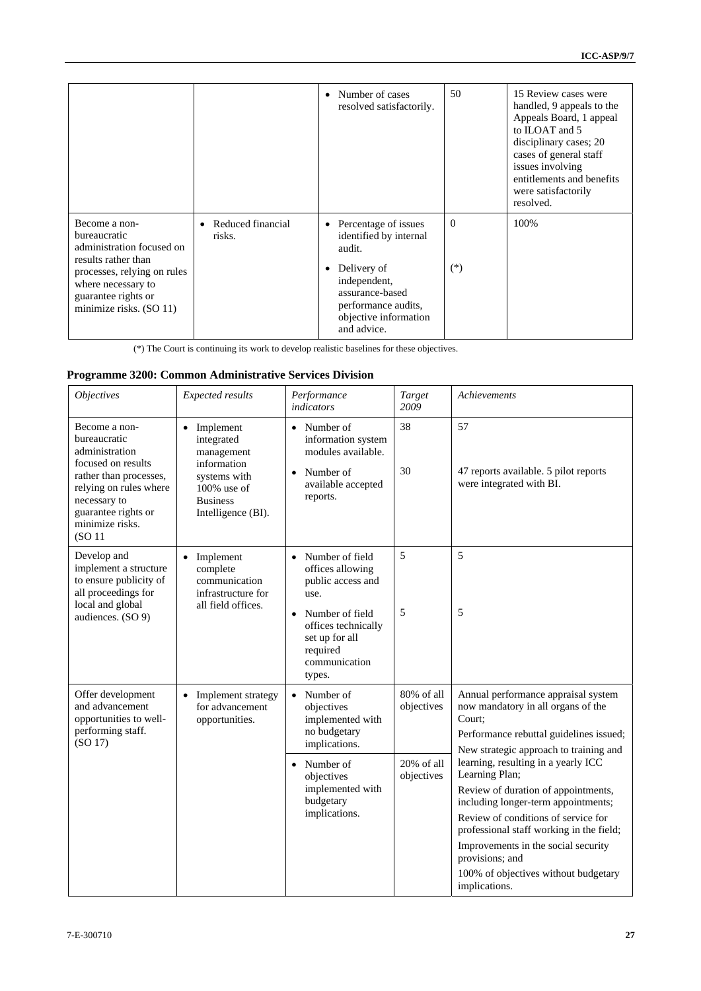|                                                                                                                                                                                          |                                          | • Number of cases<br>resolved satisfactorily.                                                                                                                                                       | 50                | 15 Review cases were<br>handled, 9 appeals to the<br>Appeals Board, 1 appeal<br>to ILOAT and 5<br>disciplinary cases; 20<br>cases of general staff<br>issues involving<br>entitlements and benefits<br>were satisfactorily<br>resolved. |
|------------------------------------------------------------------------------------------------------------------------------------------------------------------------------------------|------------------------------------------|-----------------------------------------------------------------------------------------------------------------------------------------------------------------------------------------------------|-------------------|-----------------------------------------------------------------------------------------------------------------------------------------------------------------------------------------------------------------------------------------|
| Become a non-<br>bureaucratic<br>administration focused on<br>results rather than<br>processes, relying on rules<br>where necessary to<br>guarantee rights or<br>minimize risks. (SO 11) | Reduced financial<br>$\bullet$<br>risks. | Percentage of issues<br>$\bullet$<br>identified by internal<br>audit.<br>Delivery of<br>$\bullet$<br>independent,<br>assurance-based<br>performance audits,<br>objective information<br>and advice. | $\Omega$<br>$(*)$ | 100%                                                                                                                                                                                                                                    |

(\*) The Court is continuing its work to develop realistic baselines for these objectives.

## **Programme 3200: Common Administrative Services Division**

| <i><b>Objectives</b></i>                                                                                                                                                                                   | Expected results                                                                                                                             | Performance<br><i>indicators</i>                                                                                                                                      | Target<br>2009              | Achievements                                                                                                                                                                                                                                                                                                                              |
|------------------------------------------------------------------------------------------------------------------------------------------------------------------------------------------------------------|----------------------------------------------------------------------------------------------------------------------------------------------|-----------------------------------------------------------------------------------------------------------------------------------------------------------------------|-----------------------------|-------------------------------------------------------------------------------------------------------------------------------------------------------------------------------------------------------------------------------------------------------------------------------------------------------------------------------------------|
| Become a non-<br>bureaucratic<br>administration<br>focused on results<br>rather than processes,<br>relying on rules where<br>necessary to<br>guarantee rights or<br>minimize risks.<br>(SO <sub>11</sub> ) | Implement<br>$\bullet$<br>integrated<br>management<br>information<br>systems with<br>$100\%$ use of<br><b>Business</b><br>Intelligence (BI). | • Number of<br>information system<br>modules available.<br>Number of<br>$\bullet$<br>available accepted<br>reports.                                                   | 38<br>30                    | 57<br>47 reports available. 5 pilot reports<br>were integrated with BI.                                                                                                                                                                                                                                                                   |
| Develop and<br>implement a structure<br>to ensure publicity of<br>all proceedings for<br>local and global<br>audiences. (SO 9)                                                                             | Implement<br>complete<br>communication<br>infrastructure for<br>all field offices.                                                           | • Number of field<br>offices allowing<br>public access and<br>use.<br>Number of field<br>offices technically<br>set up for all<br>required<br>communication<br>types. | 5<br>5                      | 5<br>5                                                                                                                                                                                                                                                                                                                                    |
| Offer development<br>and advancement<br>opportunities to well-<br>performing staff.<br>(SO 17)                                                                                                             | • Implement strategy<br>for advancement<br>opportunities.                                                                                    | $\bullet$ Number of<br>objectives<br>implemented with<br>no budgetary<br>implications.                                                                                | $80\%$ of all<br>objectives | Annual performance appraisal system<br>now mandatory in all organs of the<br>Court:<br>Performance rebuttal guidelines issued;<br>New strategic approach to training and                                                                                                                                                                  |
|                                                                                                                                                                                                            |                                                                                                                                              | $\bullet$ Number of<br>objectives<br>implemented with<br>budgetary<br>implications.                                                                                   | 20% of all<br>objectives    | learning, resulting in a yearly ICC<br>Learning Plan;<br>Review of duration of appointments,<br>including longer-term appointments;<br>Review of conditions of service for<br>professional staff working in the field;<br>Improvements in the social security<br>provisions; and<br>100% of objectives without budgetary<br>implications. |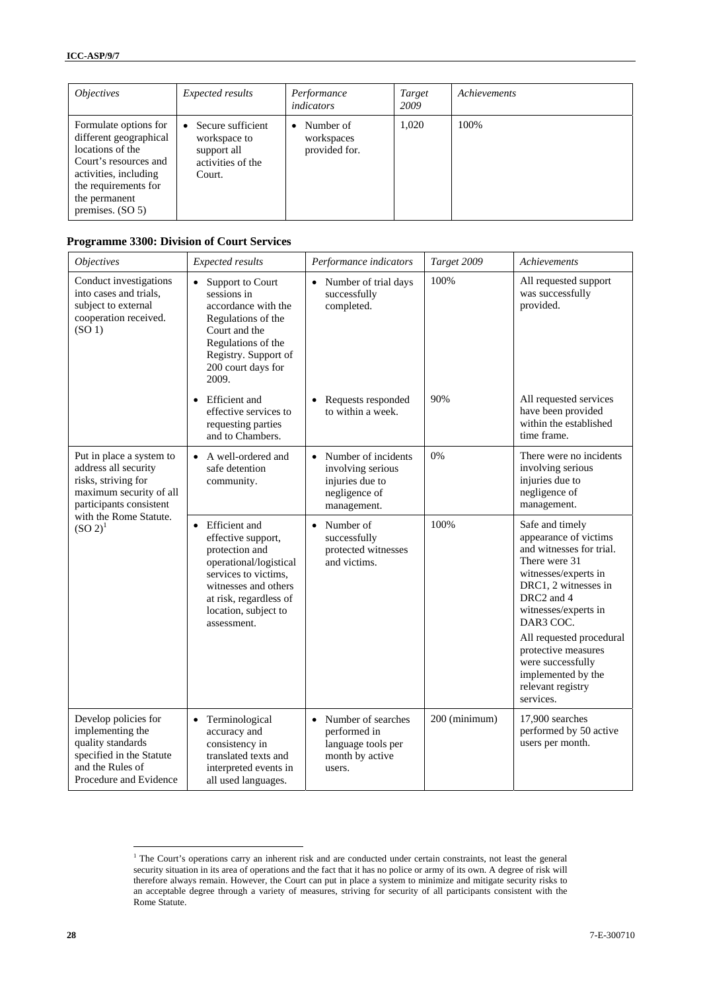| <i><b>Objectives</b></i>                                                                                                                                                            | Expected results                                                                | Performance<br>indicators                             | Target<br>2009 | Achievements |
|-------------------------------------------------------------------------------------------------------------------------------------------------------------------------------------|---------------------------------------------------------------------------------|-------------------------------------------------------|----------------|--------------|
| Formulate options for<br>different geographical<br>locations of the<br>Court's resources and<br>activities, including<br>the requirements for<br>the permanent<br>premises. $(SO5)$ | Secure sufficient<br>workspace to<br>support all<br>activities of the<br>Court. | Number of<br>$\bullet$<br>workspaces<br>provided for. | 1,020          | 100%         |

### **Programme 3300: Division of Court Services**

| <i><b>Objectives</b></i>                                                                                                                | Expected results                                                                                                                                                                                   | Performance indicators                                                                                   | Target 2009   | <b>Achievements</b>                                                                                                                                                                                                                                                                                                      |
|-----------------------------------------------------------------------------------------------------------------------------------------|----------------------------------------------------------------------------------------------------------------------------------------------------------------------------------------------------|----------------------------------------------------------------------------------------------------------|---------------|--------------------------------------------------------------------------------------------------------------------------------------------------------------------------------------------------------------------------------------------------------------------------------------------------------------------------|
| Conduct investigations<br>into cases and trials,<br>subject to external<br>cooperation received.<br>(SO <sub>1</sub> )                  | Support to Court<br>$\bullet$<br>sessions in<br>accordance with the<br>Regulations of the<br>Court and the<br>Regulations of the<br>Registry. Support of<br>200 court days for<br>2009.            | • Number of trial days<br>successfully<br>completed.                                                     | 100%          | All requested support<br>was successfully<br>provided.                                                                                                                                                                                                                                                                   |
|                                                                                                                                         | <b>Efficient</b> and<br>$\bullet$<br>effective services to<br>requesting parties<br>and to Chambers.                                                                                               | Requests responded<br>$\bullet$<br>to within a week.                                                     | 90%           | All requested services<br>have been provided<br>within the established<br>time frame.                                                                                                                                                                                                                                    |
| Put in place a system to<br>address all security<br>risks, striving for<br>maximum security of all<br>participants consistent           | A well-ordered and<br>$\bullet$<br>safe detention<br>community.                                                                                                                                    | Number of incidents<br>$\bullet$<br>involving serious<br>injuries due to<br>negligence of<br>management. | 0%            | There were no incidents<br>involving serious<br>injuries due to<br>negligence of<br>management.                                                                                                                                                                                                                          |
| with the Rome Statute.<br>$(SO 2)^1$                                                                                                    | • Efficient and<br>effective support,<br>protection and<br>operational/logistical<br>services to victims.<br>witnesses and others<br>at risk, regardless of<br>location, subject to<br>assessment. | Number of<br>$\bullet$<br>successfully<br>protected witnesses<br>and victims.                            | 100%          | Safe and timely<br>appearance of victims<br>and witnesses for trial.<br>There were 31<br>witnesses/experts in<br>DRC1, 2 witnesses in<br>DRC2 and 4<br>witnesses/experts in<br>DAR3 COC.<br>All requested procedural<br>protective measures<br>were successfully<br>implemented by the<br>relevant registry<br>services. |
| Develop policies for<br>implementing the<br>quality standards<br>specified in the Statute<br>and the Rules of<br>Procedure and Evidence | • Terminological<br>accuracy and<br>consistency in<br>translated texts and<br>interpreted events in<br>all used languages.                                                                         | Number of searches<br>$\bullet$<br>performed in<br>language tools per<br>month by active<br>users.       | 200 (minimum) | 17,900 searches<br>performed by 50 active<br>users per month.                                                                                                                                                                                                                                                            |

 1 The Court's operations carry an inherent risk and are conducted under certain constraints, not least the general security situation in its area of operations and the fact that it has no police or army of its own. A degree of risk will therefore always remain. However, the Court can put in place a system to minimize and mitigate security risks to an acceptable degree through a variety of measures, striving for security of all participants consistent with the Rome Statute.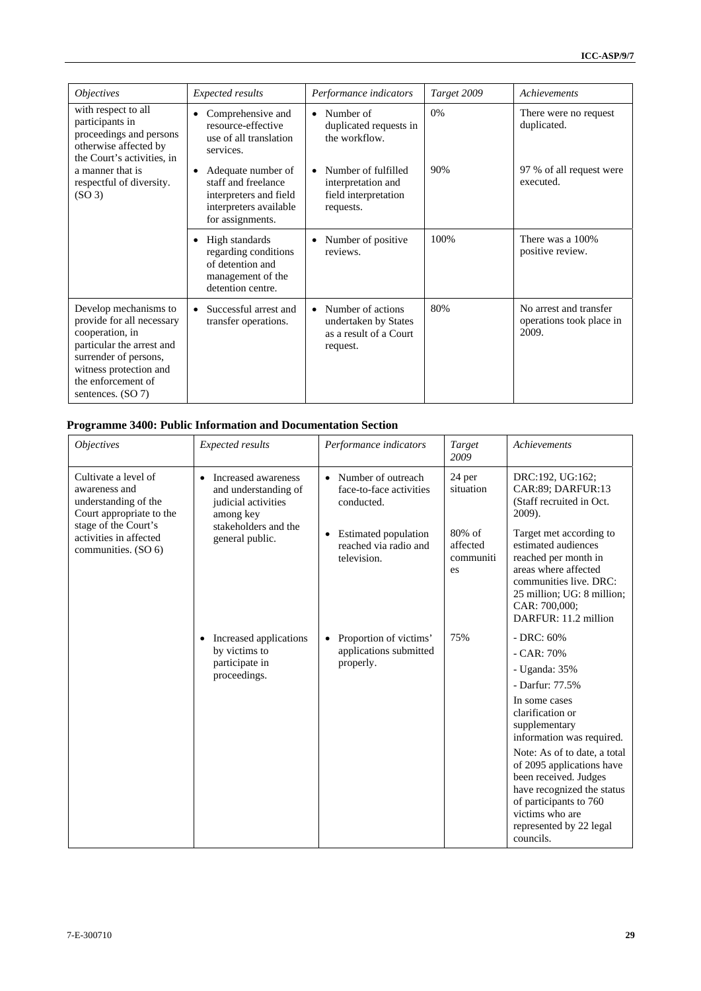| <i><b>Objectives</b></i>                                                                                                                                                                         | <b>Expected results</b>                                                                                           | Performance indicators                                                                       | Target 2009 | <b>Achievements</b>                                         |
|--------------------------------------------------------------------------------------------------------------------------------------------------------------------------------------------------|-------------------------------------------------------------------------------------------------------------------|----------------------------------------------------------------------------------------------|-------------|-------------------------------------------------------------|
| with respect to all<br>participants in<br>proceedings and persons<br>otherwise affected by<br>the Court's activities, in                                                                         | Comprehensive and<br>resource-effective<br>use of all translation<br>services.                                    | Number of<br>$\bullet$<br>duplicated requests in<br>the workflow.                            | 0%          | There were no request<br>duplicated.                        |
| a manner that is<br>respectful of diversity.<br>(SO <sub>3</sub> )                                                                                                                               | Adequate number of<br>staff and freelance<br>interpreters and field<br>interpreters available<br>for assignments. | Number of fulfilled<br>$\bullet$<br>interpretation and<br>field interpretation<br>requests.  | 90%         | 97 % of all request were<br>executed.                       |
|                                                                                                                                                                                                  | High standards<br>$\bullet$<br>regarding conditions<br>of detention and<br>management of the<br>detention centre. | Number of positive<br>$\bullet$<br>reviews.                                                  | 100%        | There was a 100%<br>positive review.                        |
| Develop mechanisms to<br>provide for all necessary<br>cooperation, in<br>particular the arrest and<br>surrender of persons,<br>witness protection and<br>the enforcement of<br>sentences. (SO 7) | Successful arrest and<br>transfer operations.                                                                     | Number of actions<br>$\bullet$<br>undertaken by States<br>as a result of a Court<br>request. | 80%         | No arrest and transfer<br>operations took place in<br>2009. |

## **Programme 3400: Public Information and Documentation Section**

| <i><b>Objectives</b></i>                                                                                                                                           | Expected results                                                                                                                        | Performance indicators                                                                                                                                | Target<br>2009                                               | Achievements                                                                                                                                                                                                                                                                                                                                                |
|--------------------------------------------------------------------------------------------------------------------------------------------------------------------|-----------------------------------------------------------------------------------------------------------------------------------------|-------------------------------------------------------------------------------------------------------------------------------------------------------|--------------------------------------------------------------|-------------------------------------------------------------------------------------------------------------------------------------------------------------------------------------------------------------------------------------------------------------------------------------------------------------------------------------------------------------|
| Cultivate a level of<br>awareness and<br>understanding of the<br>Court appropriate to the<br>stage of the Court's<br>activities in affected<br>communities. (SO 6) | Increased awareness<br>$\bullet$<br>and understanding of<br>judicial activities<br>among key<br>stakeholders and the<br>general public. | Number of outreach<br>$\bullet$<br>face-to-face activities<br>conducted.<br>Estimated population<br>$\bullet$<br>reached via radio and<br>television. | 24 per<br>situation<br>80% of<br>affected<br>communiti<br>es | DRC:192, UG:162;<br>CAR:89; DARFUR:13<br>(Staff recruited in Oct.<br>2009).<br>Target met according to<br>estimated audiences<br>reached per month in<br>areas where affected<br>communities live. DRC:<br>25 million; UG: 8 million;<br>CAR: 700,000;<br>DARFUR: 11.2 million                                                                              |
|                                                                                                                                                                    | Increased applications<br>$\bullet$<br>by victims to<br>participate in<br>proceedings.                                                  | Proportion of victims'<br>$\bullet$<br>applications submitted<br>properly.                                                                            | 75%                                                          | $-$ DRC: 60%<br>$-CAR: 70%$<br>- Uganda: 35%<br>- Darfur: 77.5%<br>In some cases<br>clarification or<br>supplementary<br>information was required.<br>Note: As of to date, a total<br>of 2095 applications have<br>been received. Judges<br>have recognized the status<br>of participants to 760<br>victims who are<br>represented by 22 legal<br>councils. |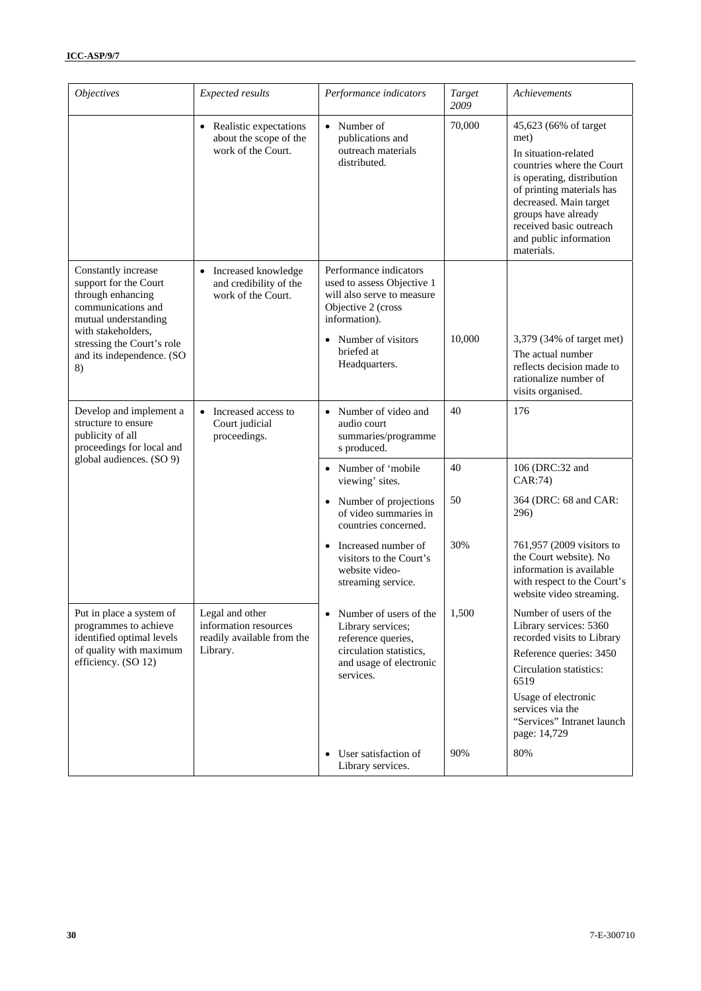| <i><b>Objectives</b></i>                                                                                                                                                                               | <b>Expected results</b>                                                            | Performance indicators                                                                                                                                                                      | Target<br>2009 | Achievements                                                                                                                                                                                                                                                      |
|--------------------------------------------------------------------------------------------------------------------------------------------------------------------------------------------------------|------------------------------------------------------------------------------------|---------------------------------------------------------------------------------------------------------------------------------------------------------------------------------------------|----------------|-------------------------------------------------------------------------------------------------------------------------------------------------------------------------------------------------------------------------------------------------------------------|
|                                                                                                                                                                                                        | • Realistic expectations<br>about the scope of the<br>work of the Court.           | • Number of<br>publications and<br>outreach materials<br>distributed.                                                                                                                       | 70,000         | 45,623 (66% of target<br>met)<br>In situation-related<br>countries where the Court<br>is operating, distribution<br>of printing materials has<br>decreased. Main target<br>groups have already<br>received basic outreach<br>and public information<br>materials. |
| Constantly increase<br>support for the Court<br>through enhancing<br>communications and<br>mutual understanding<br>with stakeholders.<br>stressing the Court's role<br>and its independence. (SO<br>8) | Increased knowledge<br>and credibility of the<br>work of the Court.                | Performance indicators<br>used to assess Objective 1<br>will also serve to measure<br>Objective 2 (cross<br>information).<br>Number of visitors<br>$\bullet$<br>briefed at<br>Headquarters. | 10,000         | 3,379 (34% of target met)<br>The actual number<br>reflects decision made to<br>rationalize number of<br>visits organised.                                                                                                                                         |
| Develop and implement a<br>structure to ensure<br>publicity of all<br>proceedings for local and                                                                                                        | Increased access to<br>Court judicial<br>proceedings.                              | • Number of video and<br>audio court<br>summaries/programme<br>s produced.                                                                                                                  | 40             | 176                                                                                                                                                                                                                                                               |
| global audiences. (SO 9)                                                                                                                                                                               |                                                                                    | • Number of 'mobile<br>viewing' sites.                                                                                                                                                      | 40             | 106 (DRC:32 and<br>CAR:74)                                                                                                                                                                                                                                        |
|                                                                                                                                                                                                        |                                                                                    | • Number of projections<br>of video summaries in<br>countries concerned.                                                                                                                    | 50             | 364 (DRC: 68 and CAR:<br>296)                                                                                                                                                                                                                                     |
|                                                                                                                                                                                                        |                                                                                    | Increased number of<br>$\bullet$<br>visitors to the Court's<br>website video-<br>streaming service.                                                                                         | 30%            | 761,957 (2009 visitors to<br>the Court website). No<br>information is available<br>with respect to the Court's<br>website video streaming.                                                                                                                        |
| Put in place a system of<br>programmes to achieve<br>identified optimal levels<br>of quality with maximum<br>efficiency. (SO 12)                                                                       | Legal and other<br>information resources<br>readily available from the<br>Library. | Number of users of the<br>$\bullet$<br>Library services;<br>reference queries,<br>circulation statistics,<br>and usage of electronic<br>services.                                           | 1,500          | Number of users of the<br>Library services: 5360<br>recorded visits to Library<br>Reference queries: 3450<br>Circulation statistics:<br>6519<br>Usage of electronic<br>services via the<br>"Services" Intranet launch<br>page: 14,729                             |
|                                                                                                                                                                                                        |                                                                                    | User satisfaction of<br>$\bullet$<br>Library services.                                                                                                                                      | 90%            | 80%                                                                                                                                                                                                                                                               |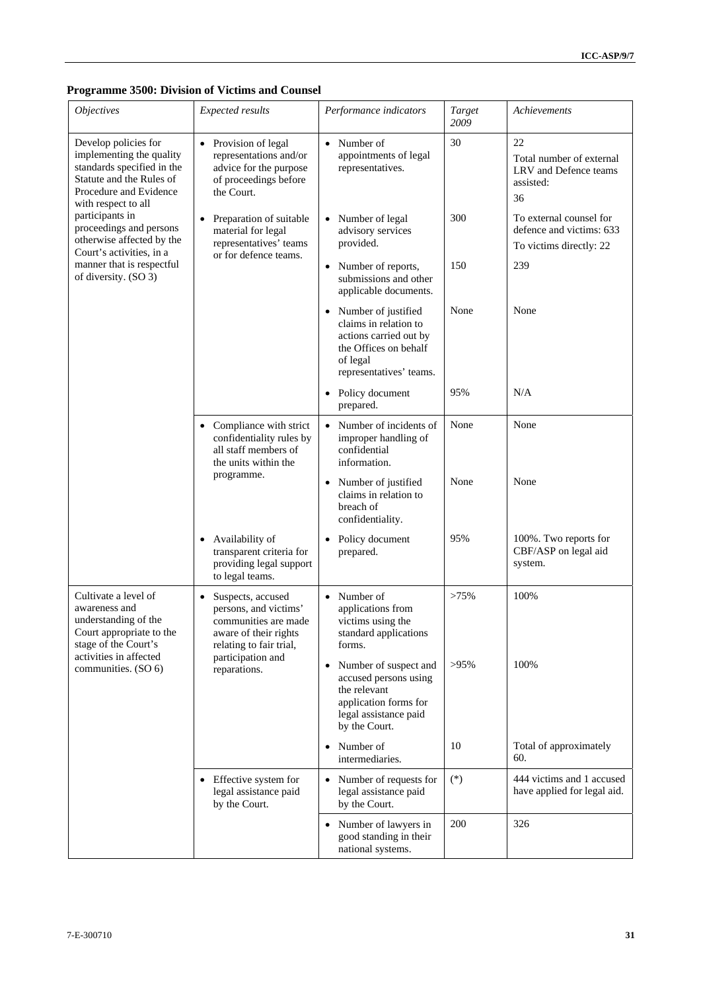## **Programme 3500: Division of Victims and Counsel**

| <i><b>Objectives</b></i>                                                                                                                                    | Expected results                                                                                                                    | Performance indicators                                                                                                                         | Target<br>2009 | Achievements                                                                   |
|-------------------------------------------------------------------------------------------------------------------------------------------------------------|-------------------------------------------------------------------------------------------------------------------------------------|------------------------------------------------------------------------------------------------------------------------------------------------|----------------|--------------------------------------------------------------------------------|
| Develop policies for<br>implementing the quality<br>standards specified in the<br>Statute and the Rules of<br>Procedure and Evidence<br>with respect to all | • Provision of legal<br>representations and/or<br>advice for the purpose<br>of proceedings before<br>the Court.                     | • Number of<br>appointments of legal<br>representatives.                                                                                       | 30             | 22<br>Total number of external<br>LRV and Defence teams<br>assisted:<br>36     |
| participants in<br>proceedings and persons<br>otherwise affected by the                                                                                     | Preparation of suitable<br>material for legal<br>representatives' teams                                                             | Number of legal<br>$\bullet$<br>advisory services<br>provided.                                                                                 | 300            | To external counsel for<br>defence and victims: 633<br>To victims directly: 22 |
| Court's activities, in a<br>manner that is respectful<br>of diversity. (SO 3)                                                                               | or for defence teams.                                                                                                               | Number of reports,<br>$\bullet$<br>submissions and other<br>applicable documents.                                                              | 150            | 239                                                                            |
|                                                                                                                                                             |                                                                                                                                     | • Number of justified<br>claims in relation to<br>actions carried out by<br>the Offices on behalf<br>of legal<br>representatives' teams.       | None           | None                                                                           |
|                                                                                                                                                             |                                                                                                                                     | • Policy document<br>prepared.                                                                                                                 | 95%            | N/A                                                                            |
|                                                                                                                                                             | Compliance with strict<br>$\bullet$<br>confidentiality rules by<br>all staff members of<br>the units within the                     | • Number of incidents of<br>improper handling of<br>confidential<br>information.                                                               | None           | None                                                                           |
|                                                                                                                                                             | programme.                                                                                                                          | Number of justified<br>$\bullet$<br>claims in relation to<br>breach of<br>confidentiality.                                                     | None           | None                                                                           |
|                                                                                                                                                             | Availability of<br>$\bullet$<br>transparent criteria for<br>providing legal support<br>to legal teams.                              | Policy document<br>$\bullet$<br>prepared.                                                                                                      | 95%            | 100%. Two reports for<br>CBF/ASP on legal aid<br>system.                       |
| Cultivate a level of<br>awareness and<br>understanding of the<br>Court appropriate to the<br>stage of the Court's<br>activities in affected                 | Suspects, accused<br>$\bullet$<br>persons, and victims'<br>communities are made<br>aware of their rights<br>relating to fair trial, | • Number of<br>applications from<br>victims using the<br>standard applications<br>forms.                                                       | >75%           | 100%                                                                           |
| communities. (SO 6)                                                                                                                                         | participation and<br>reparations.                                                                                                   | Number of suspect and<br>$\bullet$<br>accused persons using<br>the relevant<br>application forms for<br>legal assistance paid<br>by the Court. | $>95\%$        | 100%                                                                           |
|                                                                                                                                                             |                                                                                                                                     | Number of<br>$\bullet$<br>intermediaries.                                                                                                      | 10             | Total of approximately<br>60.                                                  |
|                                                                                                                                                             | • Effective system for<br>legal assistance paid<br>by the Court.                                                                    | Number of requests for<br>$\bullet$<br>legal assistance paid<br>by the Court.                                                                  | $(*)$          | 444 victims and 1 accused<br>have applied for legal aid.                       |
|                                                                                                                                                             |                                                                                                                                     | Number of lawyers in<br>٠<br>good standing in their<br>national systems.                                                                       | 200            | 326                                                                            |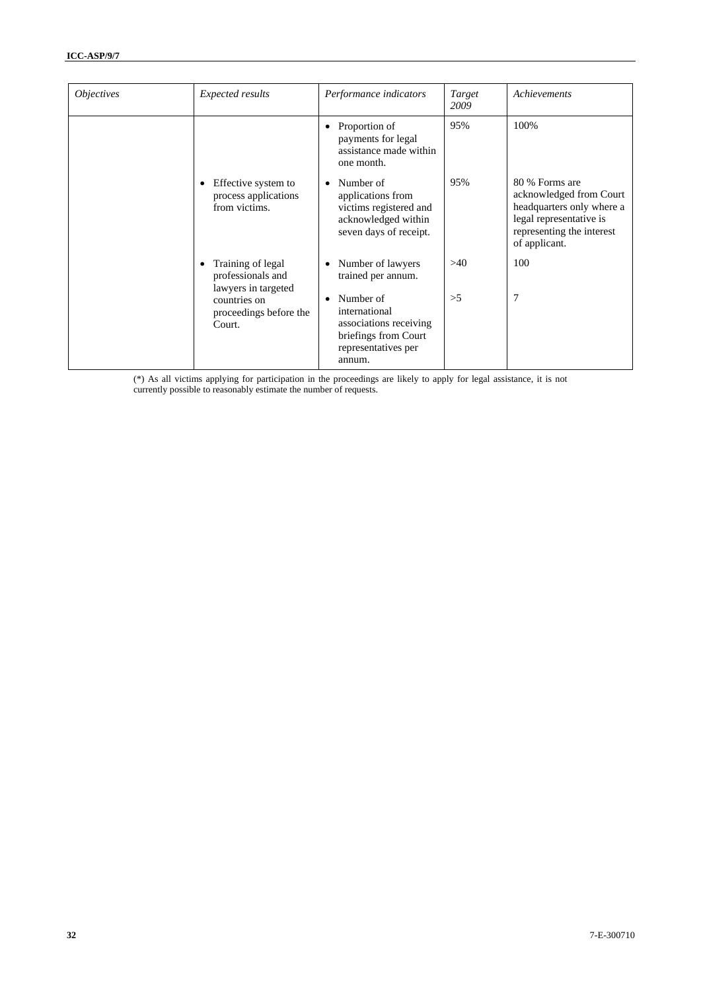| <i><b>Objectives</b></i> | Expected results                                                                                                  | Performance indicators                                                                                                                                        | Target<br>2009 | Achievements                                                                                                                                    |
|--------------------------|-------------------------------------------------------------------------------------------------------------------|---------------------------------------------------------------------------------------------------------------------------------------------------------------|----------------|-------------------------------------------------------------------------------------------------------------------------------------------------|
|                          |                                                                                                                   | Proportion of<br>$\bullet$<br>payments for legal<br>assistance made within<br>one month.                                                                      | 95%            | 100%                                                                                                                                            |
|                          | Effective system to<br>process applications<br>from victims.                                                      | Number of<br>٠<br>applications from<br>victims registered and<br>acknowledged within<br>seven days of receipt.                                                | 95%            | 80 % Forms are<br>acknowledged from Court<br>headquarters only where a<br>legal representative is<br>representing the interest<br>of applicant. |
|                          | Training of legal<br>professionals and<br>lawyers in targeted<br>countries on<br>proceedings before the<br>Court. | Number of lawyers<br>trained per annum.<br>Number of<br>٠<br>international<br>associations receiving<br>briefings from Court<br>representatives per<br>annum. | >40<br>>5      | 100<br>7                                                                                                                                        |

(\*) As all victims applying for participation in the proceedings are likely to apply for legal assistance, it is not currently possible to reasonably estimate the number of requests.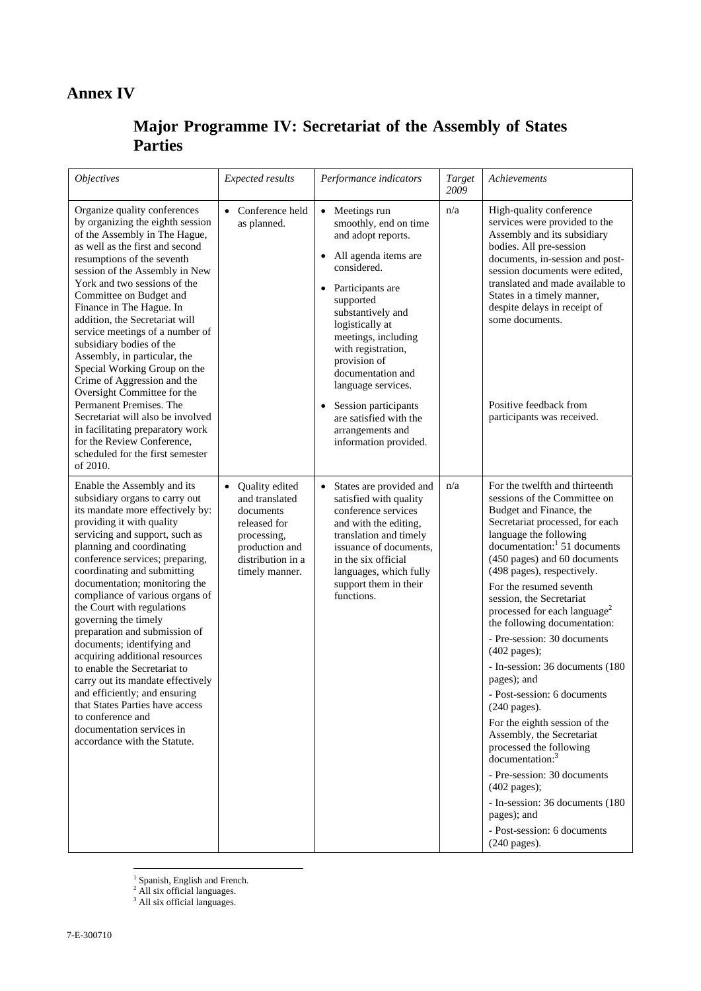## **Annex IV**

## **Major Programme IV: Secretariat of the Assembly of States Parties**

| <b>Objectives</b>                                                                                                                                                                                                                                                                                                                                                                                                                                                                                                                                                                                                                                                                                                     | Expected results                                                                                                                                   | Performance indicators                                                                                                                                                                                                                                                                                                                                                                                         | Target<br>2009 | Achievements                                                                                                                                                                                                                                                                                                                                                                                                                                                                                                                                                                                                                                                                                                                                                                                                                             |
|-----------------------------------------------------------------------------------------------------------------------------------------------------------------------------------------------------------------------------------------------------------------------------------------------------------------------------------------------------------------------------------------------------------------------------------------------------------------------------------------------------------------------------------------------------------------------------------------------------------------------------------------------------------------------------------------------------------------------|----------------------------------------------------------------------------------------------------------------------------------------------------|----------------------------------------------------------------------------------------------------------------------------------------------------------------------------------------------------------------------------------------------------------------------------------------------------------------------------------------------------------------------------------------------------------------|----------------|------------------------------------------------------------------------------------------------------------------------------------------------------------------------------------------------------------------------------------------------------------------------------------------------------------------------------------------------------------------------------------------------------------------------------------------------------------------------------------------------------------------------------------------------------------------------------------------------------------------------------------------------------------------------------------------------------------------------------------------------------------------------------------------------------------------------------------------|
| Organize quality conferences<br>by organizing the eighth session<br>of the Assembly in The Hague,<br>as well as the first and second<br>resumptions of the seventh<br>session of the Assembly in New<br>York and two sessions of the<br>Committee on Budget and<br>Finance in The Hague. In<br>addition, the Secretariat will<br>service meetings of a number of<br>subsidiary bodies of the<br>Assembly, in particular, the<br>Special Working Group on the<br>Crime of Aggression and the<br>Oversight Committee for the<br>Permanent Premises. The<br>Secretariat will also be involved<br>in facilitating preparatory work<br>for the Review Conference,<br>scheduled for the first semester<br>of 2010.          | • Conference held<br>as planned.                                                                                                                   | • Meetings run<br>smoothly, end on time<br>and adopt reports.<br>All agenda items are<br>$\bullet$<br>considered.<br>Participants are<br>supported<br>substantively and<br>logistically at<br>meetings, including<br>with registration,<br>provision of<br>documentation and<br>language services.<br>Session participants<br>$\bullet$<br>are satisfied with the<br>arrangements and<br>information provided. | n/a            | High-quality conference<br>services were provided to the<br>Assembly and its subsidiary<br>bodies. All pre-session<br>documents, in-session and post-<br>session documents were edited,<br>translated and made available to<br>States in a timely manner,<br>despite delays in receipt of<br>some documents.<br>Positive feedback from<br>participants was received.                                                                                                                                                                                                                                                                                                                                                                                                                                                                     |
| Enable the Assembly and its<br>subsidiary organs to carry out<br>its mandate more effectively by:<br>providing it with quality<br>servicing and support, such as<br>planning and coordinating<br>conference services; preparing,<br>coordinating and submitting<br>documentation; monitoring the<br>compliance of various organs of<br>the Court with regulations<br>governing the timely<br>preparation and submission of<br>documents; identifying and<br>acquiring additional resources<br>to enable the Secretariat to<br>carry out its mandate effectively<br>and efficiently; and ensuring<br>that States Parties have access<br>to conference and<br>documentation services in<br>accordance with the Statute. | Quality edited<br>$\bullet$<br>and translated<br>documents<br>released for<br>processing,<br>production and<br>distribution in a<br>timely manner. | States are provided and<br>satisfied with quality<br>conference services<br>and with the editing,<br>translation and timely<br>issuance of documents,<br>in the six official<br>languages, which fully<br>support them in their<br>functions.                                                                                                                                                                  | n/a            | For the twelfth and thirteenth<br>sessions of the Committee on<br>Budget and Finance, the<br>Secretariat processed, for each<br>language the following<br>documentation: <sup>1</sup> 51 documents<br>(450 pages) and 60 documents<br>(498 pages), respectively.<br>For the resumed seventh<br>session, the Secretariat<br>processed for each language <sup>2</sup><br>the following documentation:<br>- Pre-session: 30 documents<br>(402 pages);<br>- In-session: 36 documents (180<br>pages); and<br>- Post-session: 6 documents<br>$(240$ pages).<br>For the eighth session of the<br>Assembly, the Secretariat<br>processed the following<br>$\alpha$ documentation: <sup>3</sup><br>- Pre-session: 30 documents<br>(402 pages);<br>- In-session: 36 documents (180<br>pages); and<br>- Post-session: 6 documents<br>$(240$ pages). |

<sup>&</sup>lt;sup>1</sup> Spanish, English and French.<br><sup>2</sup> All six official languages.<br><sup>3</sup> All six official languages.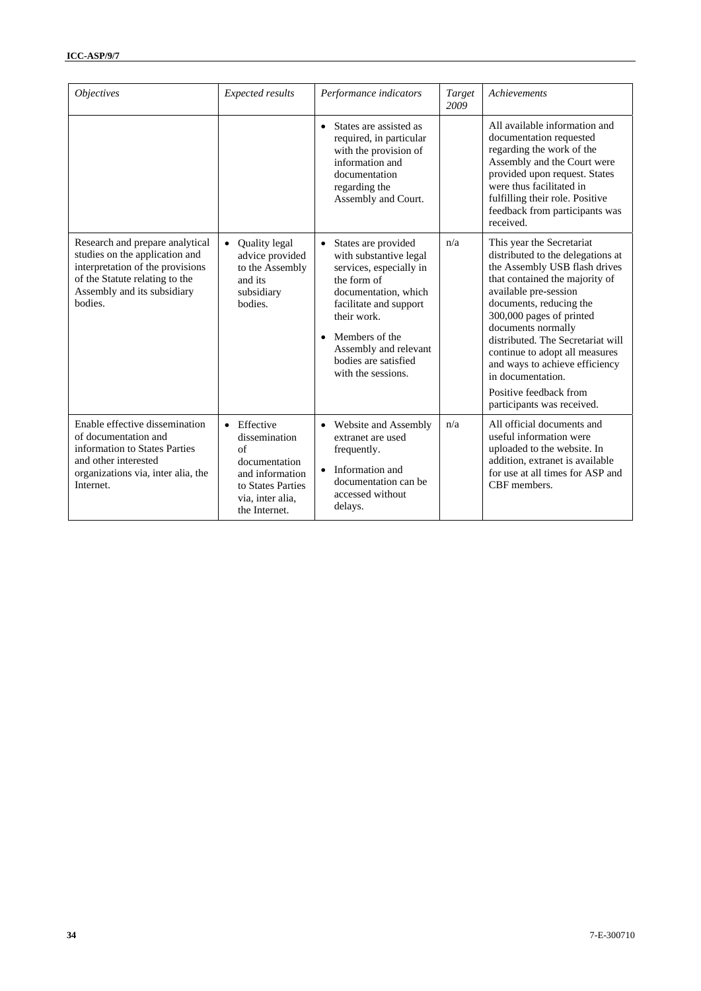| <i><b>Objectives</b></i>                                                                                                                                                          | <b>Expected results</b>                                                                                                                             | Performance indicators                                                                                                                                                                                                                                                      |     | Achievements                                                                                                                                                                                                                                                                                                                                                                                                                  |
|-----------------------------------------------------------------------------------------------------------------------------------------------------------------------------------|-----------------------------------------------------------------------------------------------------------------------------------------------------|-----------------------------------------------------------------------------------------------------------------------------------------------------------------------------------------------------------------------------------------------------------------------------|-----|-------------------------------------------------------------------------------------------------------------------------------------------------------------------------------------------------------------------------------------------------------------------------------------------------------------------------------------------------------------------------------------------------------------------------------|
|                                                                                                                                                                                   |                                                                                                                                                     | • States are assisted as<br>required, in particular<br>with the provision of<br>information and<br>documentation<br>regarding the<br>Assembly and Court.                                                                                                                    |     | All available information and<br>documentation requested<br>regarding the work of the<br>Assembly and the Court were<br>provided upon request. States<br>were thus facilitated in<br>fulfilling their role. Positive<br>feedback from participants was<br>received.                                                                                                                                                           |
| Research and prepare analytical<br>studies on the application and<br>interpretation of the provisions<br>of the Statute relating to the<br>Assembly and its subsidiary<br>bodies. | <b>Quality legal</b><br>$\bullet$<br>advice provided<br>to the Assembly<br>and its<br>subsidiary<br>bodies.                                         | $\bullet$<br>States are provided<br>with substantive legal<br>services, especially in<br>the form of<br>documentation, which<br>facilitate and support<br>their work.<br>Members of the<br>$\bullet$<br>Assembly and relevant<br>bodies are satisfied<br>with the sessions. | n/a | This year the Secretariat<br>distributed to the delegations at<br>the Assembly USB flash drives<br>that contained the majority of<br>available pre-session<br>documents, reducing the<br>300,000 pages of printed<br>documents normally<br>distributed. The Secretariat will<br>continue to adopt all measures<br>and ways to achieve efficiency<br>in documentation.<br>Positive feedback from<br>participants was received. |
| Enable effective dissemination<br>of documentation and<br>information to States Parties<br>and other interested<br>organizations via, inter alia, the<br>Internet.                | Effective<br>$\bullet$<br>dissemination<br>$\alpha$ f<br>documentation<br>and information<br>to States Parties<br>via, inter alia,<br>the Internet. | • Website and Assembly<br>extranet are used<br>frequently.<br>• Information and<br>documentation can be<br>accessed without<br>delays.                                                                                                                                      | n/a | All official documents and<br>useful information were<br>uploaded to the website. In<br>addition, extranet is available<br>for use at all times for ASP and<br>CBF members.                                                                                                                                                                                                                                                   |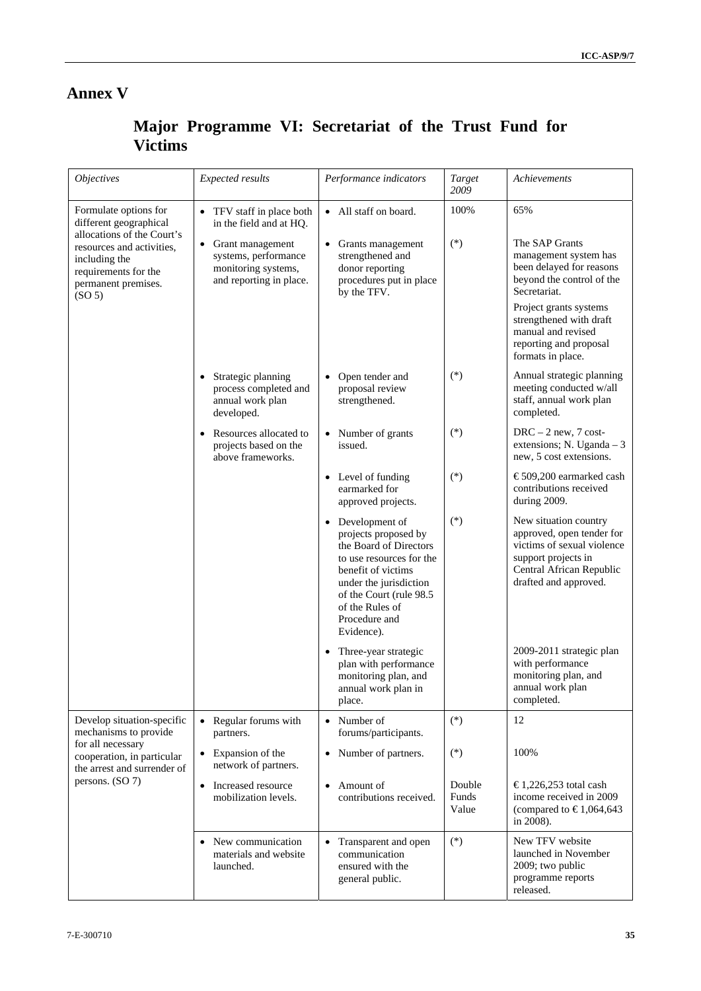## **Annex V**

## **Major Programme VI: Secretariat of the Trust Fund for Victims**

| <i><b>Objectives</b></i>                                                                                                                                                                         | Expected results                                                                             | Performance indicators                                                                                                                                                                                                                 | Target<br>2009           | Achievements                                                                                                                                                 |
|--------------------------------------------------------------------------------------------------------------------------------------------------------------------------------------------------|----------------------------------------------------------------------------------------------|----------------------------------------------------------------------------------------------------------------------------------------------------------------------------------------------------------------------------------------|--------------------------|--------------------------------------------------------------------------------------------------------------------------------------------------------------|
| Formulate options for<br>different geographical<br>allocations of the Court's<br>resources and activities,<br>including the<br>requirements for the<br>permanent premises.<br>(SO <sub>5</sub> ) | • TFV staff in place both<br>in the field and at HQ.                                         | • All staff on board.                                                                                                                                                                                                                  | 100%                     | 65%                                                                                                                                                          |
|                                                                                                                                                                                                  | • Grant management<br>systems, performance<br>monitoring systems,<br>and reporting in place. | Grants management<br>$\bullet$<br>strengthened and<br>donor reporting<br>procedures put in place<br>by the TFV.                                                                                                                        | $(*)$                    | The SAP Grants<br>management system has<br>been delayed for reasons<br>beyond the control of the<br>Secretariat.<br>Project grants systems                   |
|                                                                                                                                                                                                  |                                                                                              |                                                                                                                                                                                                                                        |                          | strengthened with draft<br>manual and revised<br>reporting and proposal<br>formats in place.                                                                 |
|                                                                                                                                                                                                  | • Strategic planning<br>process completed and<br>annual work plan<br>developed.              | Open tender and<br>$\bullet$<br>proposal review<br>strengthened.                                                                                                                                                                       | $(*)$                    | Annual strategic planning<br>meeting conducted w/all<br>staff, annual work plan<br>completed.                                                                |
|                                                                                                                                                                                                  | • Resources allocated to<br>projects based on the<br>above frameworks.                       | Number of grants<br>$\bullet$<br>issued.                                                                                                                                                                                               | $(*)$                    | $DRC - 2$ new, 7 cost-<br>extensions; N. Uganda $-3$<br>new, 5 cost extensions.                                                                              |
|                                                                                                                                                                                                  |                                                                                              | Level of funding<br>$\bullet$<br>earmarked for<br>approved projects.                                                                                                                                                                   | $(*)$                    | €509,200 earmarked cash<br>contributions received<br>during 2009.                                                                                            |
|                                                                                                                                                                                                  |                                                                                              | Development of<br>$\bullet$<br>projects proposed by<br>the Board of Directors<br>to use resources for the<br>benefit of victims<br>under the jurisdiction<br>of the Court (rule 98.5<br>of the Rules of<br>Procedure and<br>Evidence). | $(*)$                    | New situation country<br>approved, open tender for<br>victims of sexual violence<br>support projects in<br>Central African Republic<br>drafted and approved. |
|                                                                                                                                                                                                  |                                                                                              | Three-year strategic<br>$\bullet$<br>plan with performance<br>monitoring plan, and<br>annual work plan in<br>place.                                                                                                                    |                          | 2009-2011 strategic plan<br>with performance<br>monitoring plan, and<br>annual work plan<br>completed.                                                       |
| Develop situation-specific<br>mechanisms to provide                                                                                                                                              | • Regular forums with<br>partners.                                                           | • Number of<br>forums/participants.                                                                                                                                                                                                    | $(*)$                    | 12                                                                                                                                                           |
| for all necessary<br>cooperation, in particular<br>the arrest and surrender of<br>persons. (SO 7)                                                                                                | Expansion of the<br>network of partners.                                                     | Number of partners.<br>$\bullet$                                                                                                                                                                                                       | $(*)$                    | 100%                                                                                                                                                         |
|                                                                                                                                                                                                  | • Increased resource<br>mobilization levels.                                                 | Amount of<br>$\bullet$<br>contributions received.                                                                                                                                                                                      | Double<br>Funds<br>Value | €1,226,253 total cash<br>income received in 2009<br>(compared to €1,064,643<br>in 2008).                                                                     |
|                                                                                                                                                                                                  | • New communication<br>materials and website<br>launched.                                    | Transparent and open<br>$\bullet$<br>communication<br>ensured with the<br>general public.                                                                                                                                              | $(*)$                    | New TFV website<br>launched in November<br>2009; two public<br>programme reports<br>released.                                                                |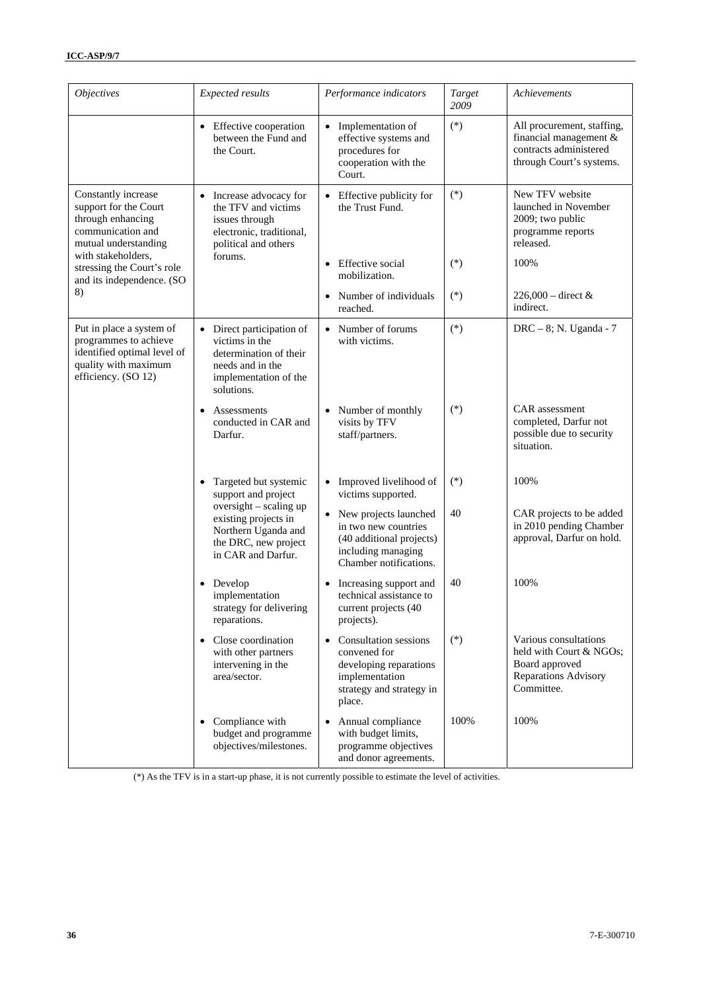| <i><b>Objectives</b></i><br>Expected results                                                                                    |                                                                                                                                                                     | Performance indicators                                                                                                                      | Target<br>2009 | Achievements                                                                                               |
|---------------------------------------------------------------------------------------------------------------------------------|---------------------------------------------------------------------------------------------------------------------------------------------------------------------|---------------------------------------------------------------------------------------------------------------------------------------------|----------------|------------------------------------------------------------------------------------------------------------|
|                                                                                                                                 | • Effective cooperation<br>between the Fund and<br>the Court.                                                                                                       | • Implementation of<br>effective systems and<br>procedures for<br>cooperation with the<br>Court.                                            | $(*)$          | All procurement, staffing,<br>financial management &<br>contracts administered<br>through Court's systems. |
| Constantly increase<br>support for the Court<br>through enhancing<br>communication and<br>mutual understanding                  | • Increase advocacy for<br>the TFV and victims<br>issues through<br>electronic, traditional,<br>political and others                                                | • Effective publicity for<br>the Trust Fund.                                                                                                | $(*)$          | New TFV website<br>launched in November<br>2009; two public<br>programme reports<br>released.              |
| with stakeholders,<br>stressing the Court's role<br>and its independence. (SO                                                   | forums.                                                                                                                                                             | Effective social<br>mobilization.                                                                                                           | $(*)$          | 100%                                                                                                       |
| 8)                                                                                                                              |                                                                                                                                                                     | • Number of individuals<br>reached.                                                                                                         | $(*)$          | $226,000 -$ direct &<br>indirect.                                                                          |
| Put in place a system of<br>programmes to achieve<br>identified optimal level of<br>quality with maximum<br>efficiency. (SO 12) | • Direct participation of<br>victims in the<br>determination of their<br>needs and in the<br>implementation of the<br>solutions.                                    | • Number of forums<br>with victims.                                                                                                         | $(*)$          | DRC - 8; N. Uganda - 7                                                                                     |
|                                                                                                                                 | Assessments<br>$\bullet$<br>conducted in CAR and<br>Darfur.                                                                                                         | Number of monthly<br>visits by TFV<br>staff/partners.                                                                                       | $(*)$          | CAR assessment<br>completed, Darfur not<br>possible due to security<br>situation.                          |
|                                                                                                                                 | Targeted but systemic<br>support and project<br>oversight - scaling up<br>existing projects in<br>Northern Uganda and<br>the DRC, new project<br>in CAR and Darfur. | Improved livelihood of<br>$\bullet$<br>victims supported.                                                                                   | $(*)$          | 100%                                                                                                       |
|                                                                                                                                 |                                                                                                                                                                     | • New projects launched<br>in two new countries<br>(40 additional projects)<br>including managing<br>Chamber notifications.                 | 40             | CAR projects to be added<br>in 2010 pending Chamber<br>approval, Darfur on hold.                           |
|                                                                                                                                 | Develop<br>٠<br>implementation<br>strategy for delivering<br>reparations.                                                                                           | Increasing support and<br>$\bullet$<br>technical assistance to<br>current projects (40<br>projects).                                        | 40             | 100%                                                                                                       |
|                                                                                                                                 | Close coordination<br>$\bullet$<br>with other partners<br>intervening in the<br>area/sector.                                                                        | <b>Consultation sessions</b><br>$\bullet$<br>convened for<br>developing reparations<br>implementation<br>strategy and strategy in<br>place. | $(*)$          | Various consultations<br>held with Court & NGOs;<br>Board approved<br>Reparations Advisory<br>Committee.   |
|                                                                                                                                 | • Compliance with<br>budget and programme<br>objectives/milestones.                                                                                                 | Annual compliance<br>$\bullet$<br>with budget limits,<br>programme objectives<br>and donor agreements.                                      | 100%           | 100%                                                                                                       |

(\*) As the TFV is in a start-up phase, it is not currently possible to estimate the level of activities.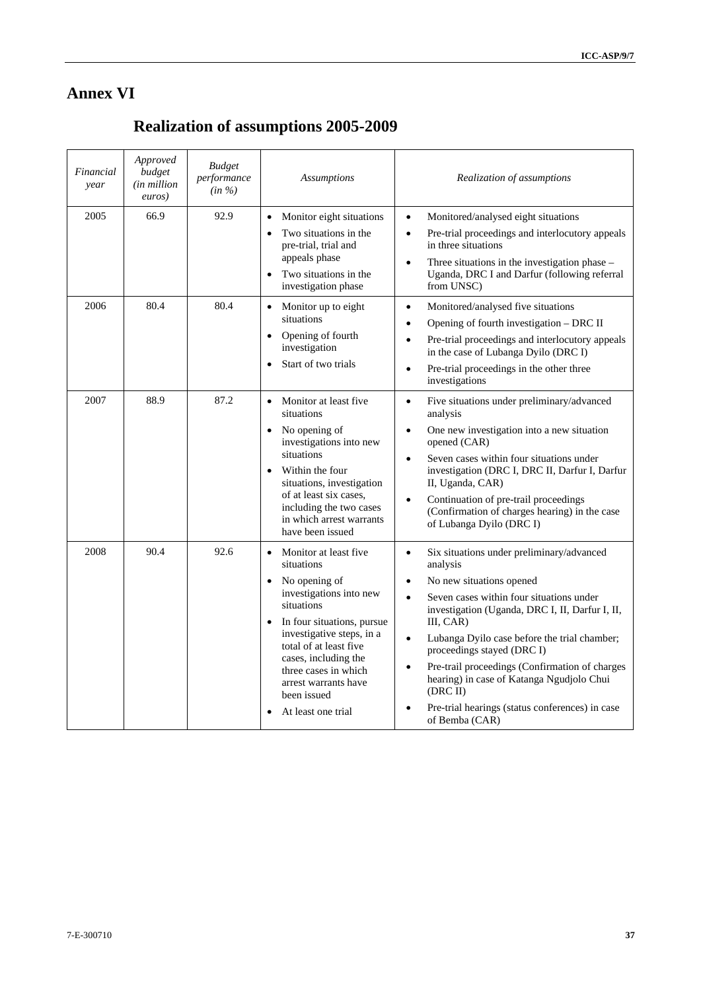7

## **Annex VI**

# **Realization of assumptions 2005-2009**

| Financial<br>year | Approved<br>budget<br><i>(in million</i> )<br>euros) | <b>Budget</b><br>performance<br>$(in \%)$ | <b>Assumptions</b>                                                                                                                                                                                                                                                                                                        | Realization of assumptions                                                                                                                                                                                                                                                                                                                                                                                                                                                                                                   |
|-------------------|------------------------------------------------------|-------------------------------------------|---------------------------------------------------------------------------------------------------------------------------------------------------------------------------------------------------------------------------------------------------------------------------------------------------------------------------|------------------------------------------------------------------------------------------------------------------------------------------------------------------------------------------------------------------------------------------------------------------------------------------------------------------------------------------------------------------------------------------------------------------------------------------------------------------------------------------------------------------------------|
| 2005              | 66.9                                                 | 92.9                                      | Monitor eight situations<br>$\bullet$<br>Two situations in the<br>$\bullet$<br>pre-trial, trial and<br>appeals phase<br>Two situations in the<br>$\bullet$<br>investigation phase                                                                                                                                         | Monitored/analysed eight situations<br>$\bullet$<br>Pre-trial proceedings and interlocutory appeals<br>$\bullet$<br>in three situations<br>Three situations in the investigation phase $-$<br>$\bullet$<br>Uganda, DRC I and Darfur (following referral<br>from UNSC)                                                                                                                                                                                                                                                        |
| 2006              | 80.4                                                 | 80.4                                      | Monitor up to eight<br>$\bullet$<br>situations<br>Opening of fourth<br>$\bullet$<br>investigation<br>Start of two trials                                                                                                                                                                                                  | Monitored/analysed five situations<br>$\bullet$<br>Opening of fourth investigation - DRC II<br>$\bullet$<br>Pre-trial proceedings and interlocutory appeals<br>$\bullet$<br>in the case of Lubanga Dyilo (DRC I)<br>Pre-trial proceedings in the other three<br>$\bullet$<br>investigations                                                                                                                                                                                                                                  |
| 2007              | 88.9                                                 | 87.2                                      | Monitor at least five<br>$\bullet$<br>situations<br>No opening of<br>$\bullet$<br>investigations into new<br>situations<br>Within the four<br>situations, investigation<br>of at least six cases,<br>including the two cases<br>in which arrest warrants<br>have been issued                                              | Five situations under preliminary/advanced<br>$\bullet$<br>analysis<br>One new investigation into a new situation<br>$\bullet$<br>opened (CAR)<br>Seven cases within four situations under<br>$\bullet$<br>investigation (DRC I, DRC II, Darfur I, Darfur<br>II, Uganda, CAR)<br>Continuation of pre-trail proceedings<br>$\bullet$<br>(Confirmation of charges hearing) in the case<br>of Lubanga Dyilo (DRC I)                                                                                                             |
| 2008              | 90.4                                                 | 92.6                                      | Monitor at least five<br>$\bullet$<br>situations<br>No opening of<br>investigations into new<br>situations<br>In four situations, pursue<br>$\bullet$<br>investigative steps, in a<br>total of at least five<br>cases, including the<br>three cases in which<br>arrest warrants have<br>been issued<br>At least one trial | Six situations under preliminary/advanced<br>$\bullet$<br>analysis<br>No new situations opened<br>$\bullet$<br>Seven cases within four situations under<br>$\bullet$<br>investigation (Uganda, DRC I, II, Darfur I, II,<br>III, CAR)<br>Lubanga Dyilo case before the trial chamber;<br>$\bullet$<br>proceedings stayed (DRC I)<br>Pre-trail proceedings (Confirmation of charges<br>$\bullet$<br>hearing) in case of Katanga Ngudjolo Chui<br>(DRC II)<br>Pre-trial hearings (status conferences) in case<br>of Bemba (CAR) |